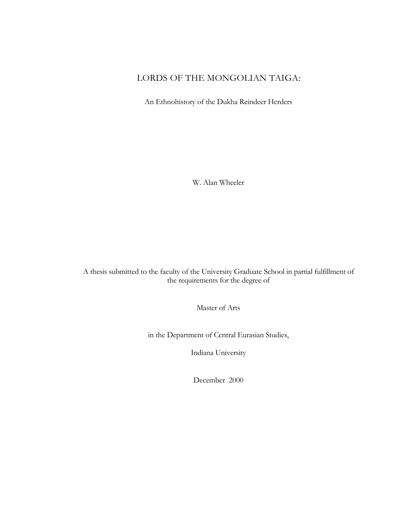# LORDS OF THE MONGOLIAN TAIGA:

An Ethnohistory of the Dukha Reindeer Herders

W. Alan Wheeler

A thesis submitted to the faculty of the University Graduate School in partial fulfillment of the requirements for the degree of

Master of Arts

in the Department of Central Eurasian Studies,

Indiana University

December 2000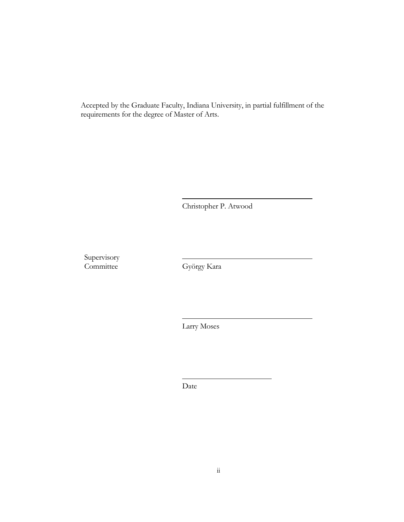Accepted by the Graduate Faculty, Indiana University, in partial fulfillment of the requirements for the degree of Master of Arts.

Christopher P. Atwood

Supervisory **Committee** 

György Kara

Larry Moses

Date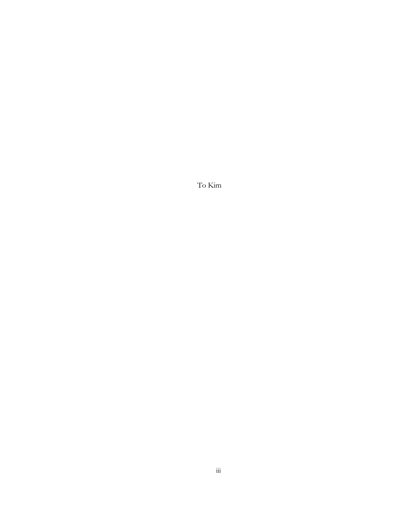To Kim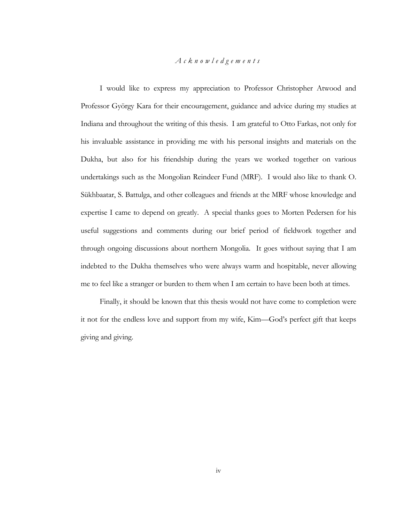## *Acknowledgements*

I would like to express my appreciation to Professor Christopher Atwood and Professor György Kara for their encouragement, guidance and advice during my studies at Indiana and throughout the writing of this thesis. I am grateful to Otto Farkas, not only for his invaluable assistance in providing me with his personal insights and materials on the Dukha, but also for his friendship during the years we worked together on various undertakings such as the Mongolian Reindeer Fund (MRF). I would also like to thank O. Sükhbaatar, S. Battulga, and other colleagues and friends at the MRF whose knowledge and expertise I came to depend on greatly. A special thanks goes to Morten Pedersen for his useful suggestions and comments during our brief period of fieldwork together and through ongoing discussions about northern Mongolia. It goes without saying that I am indebted to the Dukha themselves who were always warm and hospitable, never allowing me to feel like a stranger or burden to them when I am certain to have been both at times.

Finally, it should be known that this thesis would not have come to completion were it not for the endless love and support from my wife, Kim—God's perfect gift that keeps giving and giving.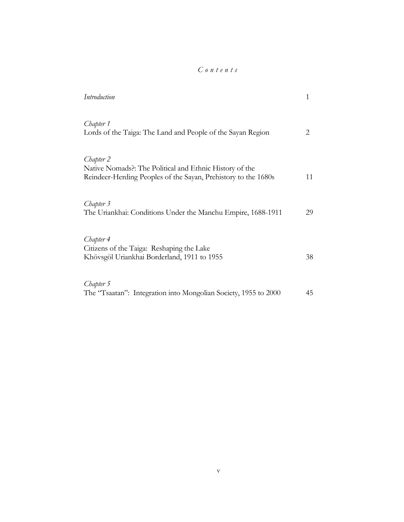# *Contents*

| Introduction                                                                                                                           | 1  |
|----------------------------------------------------------------------------------------------------------------------------------------|----|
| Chapter 1<br>Lords of the Taiga: The Land and People of the Sayan Region                                                               | 2  |
| Chapter 2<br>Native Nomads?: The Political and Ethnic History of the<br>Reindeer-Herding Peoples of the Sayan, Prehistory to the 1680s | 11 |
| Chapter 3<br>The Uriankhai: Conditions Under the Manchu Empire, 1688-1911                                                              | 29 |
| Chapter 4<br>Citizens of the Taiga: Reshaping the Lake<br>Khövsgöl Uriankhai Borderland, 1911 to 1955                                  | 38 |
| Chapter 5<br>The "Tsaatan": Integration into Mongolian Society, 1955 to 2000                                                           | 45 |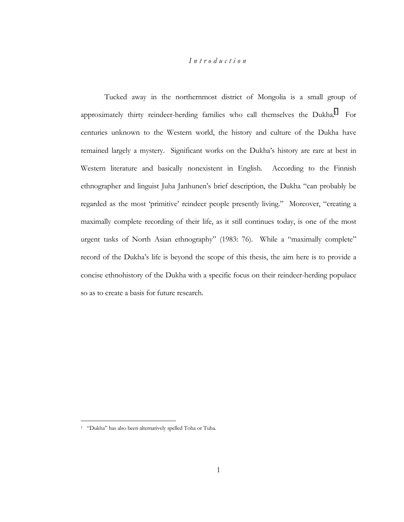## *Introduction*

Tucked away in the northernmost district of Mongolia is a small group of approximately thirty reindeer-herding families who call themselves the Dukha.<sup>1</sup> For centuries unknown to the Western world, the history and culture of the Dukha have remained largely a mystery. Significant works on the Dukha's history are rare at best in Western literature and basically nonexistent in English. According to the Finnish ethnographer and linguist Juha Janhunen's brief description, the Dukha "can probably be regarded as the most 'primitive' reindeer people presently living." Moreover, "creating a maximally complete recording of their life, as it still continues today, is one of the most urgent tasks of North Asian ethnography" (1983: 76). While a "maximally complete" record of the Dukhaís life is beyond the scope of this thesis, the aim here is to provide a concise ethnohistory of the Dukha with a specific focus on their reindeer-herding populace so as to create a basis for future research.

<sup>&</sup>lt;sup>1</sup> "Dukha" has also been alternatively spelled Toha or Tuha.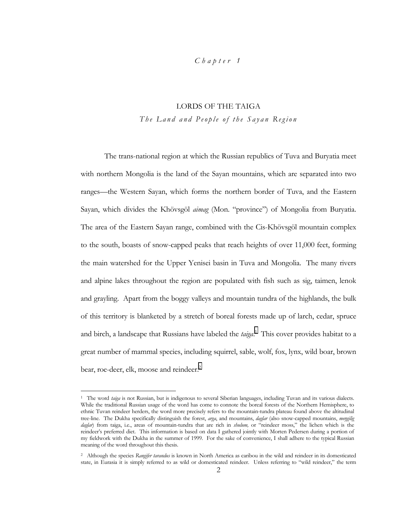## *Chapter 1*

# LORDS OF THE TAIGA *The Land and People of the Sayan Region*

The trans-national region at which the Russian republics of Tuva and Buryatia meet with northern Mongolia is the land of the Sayan mountains, which are separated into two ranges—the Western Sayan, which forms the northern border of Tuva, and the Eastern Sayan, which divides the Khövsgöl *aimag* (Mon. "province") of Mongolia from Buryatia. The area of the Eastern Sayan range, combined with the Cis-Khövsgöl mountain complex to the south, boasts of snow-capped peaks that reach heights of over 11,000 feet, forming the main watershed for the Upper Yenisei basin in Tuva and Mongolia. The many rivers and alpine lakes throughout the region are populated with fish such as sig, taimen, lenok and grayling. Apart from the boggy valleys and mountain tundra of the highlands, the bulk of this territory is blanketed by a stretch of boreal forests made up of larch, cedar, spruce and birch, a landscape that Russians have labeled the *taiga*. 1 This cover provides habitat to a great number of mammal species, including squirrel, sable, wolf, fox, lynx, wild boar, brown bear, roe-deer, elk, moose and reindeer.<sup>2</sup>

<sup>1</sup> The word *taiga* is not Russian, but is indigenous to several Siberian languages, including Tuvan and its various dialects. While the traditional Russian usage of the word has come to connote the boreal forests of the Northern Hemisphere, to ethnic Tuvan reindeer herders, the word more precisely refers to the mountain-tundra plateau found above the altitudinal tree-line. The Dukha specifically distinguish the forest, *arga*, and mountains, *daglar* (also snow-capped mountains, *meŋgilig daglar*) from taiga, i.e., areas of mountain-tundra that are rich in *shulum*, or "reindeer moss," the lichen which is the reindeer's preferred diet. This information is based on data I gathered jointly with Morten Pedersen during a portion of my fieldwork with the Dukha in the summer of 1999. For the sake of convenience, I shall adhere to the typical Russian meaning of the word throughout this thesis.

<sup>2</sup> Although the species *Rangifer tarandus* is known in North America as caribou in the wild and reindeer in its domesticated state, in Eurasia it is simply referred to as wild or domesticated reindeer. Unless referring to "wild reindeer," the term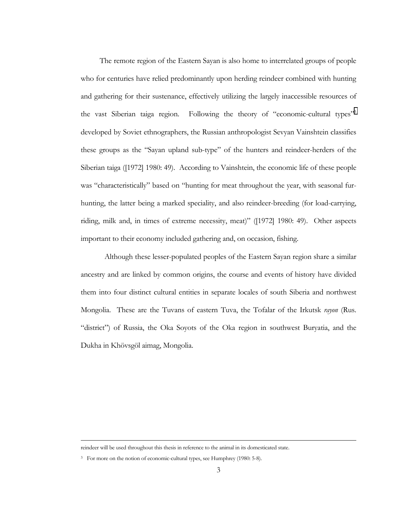The remote region of the Eastern Sayan is also home to interrelated groups of people who for centuries have relied predominantly upon herding reindeer combined with hunting and gathering for their sustenance, effectively utilizing the largely inaccessible resources of the vast Siberian taiga region. Following the theory of "economic-cultural types"<sup>3</sup> developed by Soviet ethnographers, the Russian anthropologist Sevyan Vainshtein classifies these groups as the "Sayan upland sub-type" of the hunters and reindeer-herders of the Siberian taiga ([1972] 1980: 49). According to Vainshtein, the economic life of these people was "characteristically" based on "hunting for meat throughout the year, with seasonal furhunting, the latter being a marked speciality, and also reindeer-breeding (for load-carrying, riding, milk and, in times of extreme necessity, meat)" ([1972] 1980: 49). Other aspects important to their economy included gathering and, on occasion, fishing.

Although these lesser-populated peoples of the Eastern Sayan region share a similar ancestry and are linked by common origins, the course and events of history have divided them into four distinct cultural entities in separate locales of south Siberia and northwest Mongolia. These are the Tuvans of eastern Tuva, the Tofalar of the Irkutsk *rayon* (Rus. "district") of Russia, the Oka Soyots of the Oka region in southwest Buryatia, and the Dukha in Khövsgöl aimag, Mongolia.

reindeer will be used throughout this thesis in reference to the animal in its domesticated state.

<sup>&</sup>lt;sup>3</sup> For more on the notion of economic-cultural types, see Humphrey (1980: 5-8).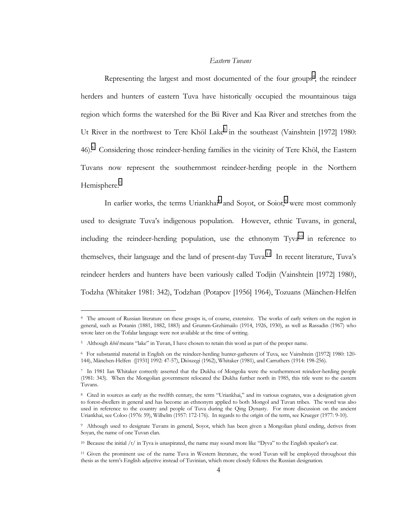## *Eastern Tuvans*

Representing the largest and most documented of the four groups<sup>4</sup>, the reindeer herders and hunters of eastern Tuva have historically occupied the mountainous taiga region which forms the watershed for the Bii River and Kaa River and stretches from the Ut River in the northwest to Tere Khöl Lake<sup>5</sup> in the southeast (Vainshtein [1972] 1980: 46).<sup>6</sup> Considering those reindeer-herding families in the vicinity of Tere Khöl, the Eastern Tuvans now represent the southernmost reindeer-herding people in the Northern Hemisphere.<sup>7</sup>

In earlier works, the terms Uriankhai<sup>8</sup> and Soyot, or Soiot,<sup>9</sup> were most commonly used to designate Tuva's indigenous population. However, ethnic Tuvans, in general, including the reindeer-herding population, use the ethnonym  $Tyva<sup>10</sup>$  in reference to themselves, their language and the land of present-day Tuva.<sup>11</sup> In recent literature, Tuva's reindeer herders and hunters have been variously called Todjin (Vainshtein [1972] 1980), Todzha (Whitaker 1981: 342), Todzhan (Potapov [1956] 1964), Tozuans (M‰nchen-Helfen

<sup>4</sup> The amount of Russian literature on these groups is, of course, extensive. The works of early writers on the region in general, such as Potanin (1881, 1882, 1883) and Grumm-Grzhimailo (1914, 1926, 1930), as well as Rassadin (1967) who wrote later on the Tofalar language were not available at the time of writing.

<sup>5</sup> Although *khöl* means "lake" in Tuvan, I have chosen to retain this word as part of the proper name.

<sup>6</sup> For substantial material in English on the reindeer-herding hunter-gatherers of Tuva, see Vainshtein ([1972] 1980: 120- 144), M‰nchen-Helfen ([1931] 1992: 47-57), DiÛszegi (1962), Whitaker (1981), and Carruthers (1914: 198-256).

<sup>7</sup> In 1981 Ian Whitaker correctly asserted that the Dukha of Mongolia were the southernmost reindeer-herding people (1981: 343). When the Mongolian government relocated the Dukha further north in 1985, this title went to the eastern Tuvans.

<sup>&</sup>lt;sup>8</sup> Cited in sources as early as the twelfth century, the term "Uriankhai," and its various cognates, was a designation given to forest-dwellers in general and has become an ethnonym applied to both Mongol and Tuvan tribes. The word was also used in reference to the country and people of Tuva during the Qing Dynasty. For more discussion on the ancient Uriankhai, see Coloo (1976: 59), Wilhelm (1957: 172-176). In regards to the origin of the term, see Krueger (1977: 9-10).

<sup>9</sup> Although used to designate Tuvans in general, Soyot, which has been given a Mongolian plural ending, derives from Soyan, the name of one Tuvan clan.

<sup>&</sup>lt;sup>10</sup> Because the initial  $/t$  in Tyva is unaspirated, the name may sound more like "Dyva" to the English speaker's ear.

<sup>&</sup>lt;sup>11</sup> Given the prominent use of the name Tuva in Western literature, the word Tuvan will be employed throughout this thesis as the termís English adjective instead of Tuvinian, which more closely follows the Russian designation.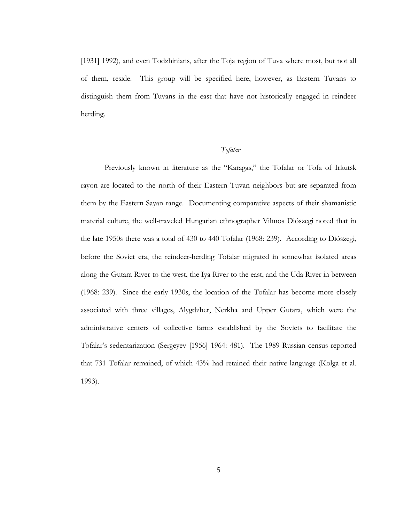[1931] 1992), and even Todzhinians, after the Toja region of Tuva where most, but not all of them, reside. This group will be specified here, however, as Eastern Tuvans to distinguish them from Tuvans in the east that have not historically engaged in reindeer herding.

## *Tofalar*

Previously known in literature as the "Karagas," the Tofalar or Tofa of Irkutsk rayon are located to the north of their Eastern Tuvan neighbors but are separated from them by the Eastern Sayan range. Documenting comparative aspects of their shamanistic material culture, the well-traveled Hungarian ethnographer Vilmos Diószegi noted that in the late 1950s there was a total of 430 to 440 Tofalar (1968: 239). According to Diószegi, before the Soviet era, the reindeer-herding Tofalar migrated in somewhat isolated areas along the Gutara River to the west, the Iya River to the east, and the Uda River in between (1968: 239). Since the early 1930s, the location of the Tofalar has become more closely associated with three villages, Alygdzher, Nerkha and Upper Gutara, which were the administrative centers of collective farms established by the Soviets to facilitate the Tofalarís sedentarization (Sergeyev [1956] 1964: 481). The 1989 Russian census reported that 731 Tofalar remained, of which 43% had retained their native language (Kolga et al. 1993).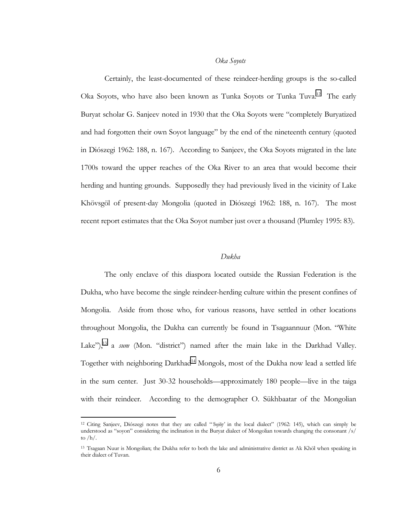## *Oka Soyots*

Certainly, the least-documented of these reindeer-herding groups is the so-called Oka Soyots, who have also been known as Tunka Soyots or Tunka Tuva.<sup>12</sup> The early Buryat scholar G. Sanjeev noted in 1930 that the Oka Soyots were "completely Buryatized and had forgotten their own Soyot language" by the end of the nineteenth century (quoted in Diószegi 1962: 188, n. 167). According to Sanjeev, the Oka Soyots migrated in the late 1700s toward the upper reaches of the Oka River to an area that would become their herding and hunting grounds. Supposedly they had previously lived in the vicinity of Lake Khövsgöl of present-day Mongolia (quoted in Diószegi 1962: 188, n. 167). The most recent report estimates that the Oka Soyot number just over a thousand (Plumley 1995: 83).

## *Dukha*

The only enclave of this diaspora located outside the Russian Federation is the Dukha, who have become the single reindeer-herding culture within the present confines of Mongolia. Aside from those who, for various reasons, have settled in other locations throughout Mongolia, the Dukha can currently be found in Tsagaannuur (Mon. "White Lake"),<sup>13</sup> a *sum* (Mon. "district") named after the main lake in the Darkhad Valley. Together with neighboring Darkhad<sup>14</sup> Mongols, most of the Dukha now lead a settled life in the sum center. Just 30-32 households—approximately 180 people—live in the taiga with their reindeer. According to the demographer O. Sükhbaatar of the Mongolian

<sup>12</sup> Citing Sanjeev, Diószegi notes that they are called "*hojŏŋ'* in the local dialect" (1962: 145), which can simply be understood as "soyon" considering the inclination in the Buryat dialect of Mongolian towards changing the consonant /s/ to /h/.

<sup>13</sup> Tsagaan Nuur is Mongolian; the Dukha refer to both the lake and administrative district as Ak Khöl when speaking in their dialect of Tuvan.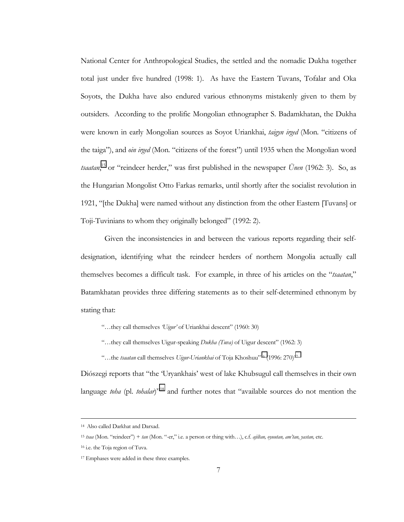National Center for Anthropological Studies, the settled and the nomadic Dukha together total just under five hundred (1998: 1). As have the Eastern Tuvans, Tofalar and Oka Soyots, the Dukha have also endured various ethnonyms mistakenly given to them by outsiders. According to the prolific Mongolian ethnographer S. Badamkhatan, the Dukha were known in early Mongolian sources as Soyot Uriankhai, *taigyn irged* (Mon. "citizens of the taiga"), and *oin irged* (Mon. "citizens of the forest") until 1935 when the Mongolian word *tsaatan*,<sup>15</sup> or "reindeer herder," was first published in the newspaper *Ünen* (1962: 3). So, as the Hungarian Mongolist Otto Farkas remarks, until shortly after the socialist revolution in 1921, "[the Dukha] were named without any distinction from the other Eastern [Tuvans] or Toji-Tuvinians to whom they originally belonged" (1992: 2).

Given the inconsistencies in and between the various reports regarding their selfdesignation, identifying what the reindeer herders of northern Mongolia actually call themselves becomes a difficult task. For example, in three of his articles on the *"tsaatan*," Batamkhatan provides three differing statements as to their self-determined ethnonym by stating that:

- ìÖthey call themselves *ëUigurí* of Uriankhai descentî (1960: 30)
- <sup>"</sup>...they call themselves Uigur-speaking *Dukha (Tuva)* of Uigur descent" (1962: 3)
- <sup>"</sup>
...the *tsaatan* call themselves *Uigur-Uriankhai* of Toja Khoshuu<sup>"16</sup> (1996: 270)<sup>17</sup>

Diószegi reports that "the 'Uryankhais' west of lake Khubsugul call themselves in their own language *toha* (pl. *tohalar*)<sup>3518</sup> and further notes that "available sources do not mention the

 <sup>14</sup> Also called Darkhat and Darxad.

<sup>15</sup> *tsaa* (Mon. "reindeer") + *tan* (Mon. "-er," i.e. a person or thing with...), c.f. *ajiltan, oyuutan, am'tan, yastan*, etc.

<sup>16</sup> i.e. the Toja region of Tuva.

<sup>17</sup> Emphases were added in these three examples.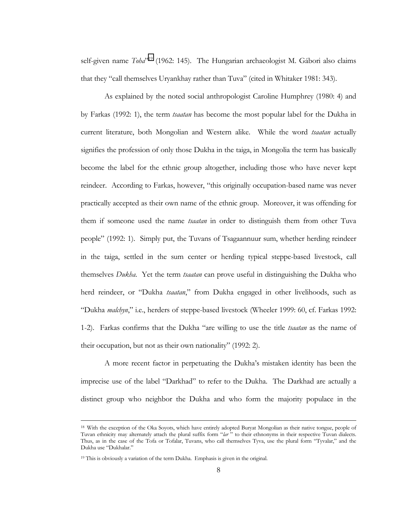self-given name *Toha*<sup>719</sup> (1962: 145). The Hungarian archaeologist M. Gábori also claims that they "call themselves Uryankhay rather than Tuva" (cited in Whitaker 1981: 343).

As explained by the noted social anthropologist Caroline Humphrey (1980: 4) and by Farkas (1992: 1), the term *tsaatan* has become the most popular label for the Dukha in current literature, both Mongolian and Western alike. While the word *tsaatan* actually signifies the profession of only those Dukha in the taiga, in Mongolia the term has basically become the label for the ethnic group altogether, including those who have never kept reindeer. According to Farkas, however, "this originally occupation-based name was never practically accepted as their own name of the ethnic group. Moreover, it was offending for them if someone used the name *tsaatan* in order to distinguish them from other Tuva peopleî (1992: 1). Simply put, the Tuvans of Tsagaannuur sum, whether herding reindeer in the taiga, settled in the sum center or herding typical steppe-based livestock, call themselves *Dukha*. Yet the term *tsaatan* can prove useful in distinguishing the Dukha who herd reindeer, or "Dukha *tsaatan*," from Dukha engaged in other livelihoods, such as ìDukha *malchyn*,î i.e., herders of steppe-based livestock (Wheeler 1999: 60, cf. Farkas 1992: 1-2). Farkas confirms that the Dukha "are willing to use the title *tsaatan* as the name of their occupation, but not as their own nationality" (1992: 2).

A more recent factor in perpetuating the Dukhaís mistaken identity has been the imprecise use of the label "Darkhad" to refer to the Dukha. The Darkhad are actually a distinct group who neighbor the Dukha and who form the majority populace in the

 <sup>18</sup> With the exception of the Oka Soyots, which have entirely adopted Buryat Mongolian as their native tongue, people of Tuvan ethnicity may alternately attach the plural suffix form *<sup><i>'lar*</sup></sub> <sup>n</sup> to their ethnonyms in their respective Tuvan dialects. Thus, as in the case of the Tofa or Tofalar, Tuvans, who call themselves Tyva, use the plural form "Tyvalar," and the Dukha use "Dukhalar."

<sup>19</sup> This is obviously a variation of the term Dukha. Emphasis is given in the original.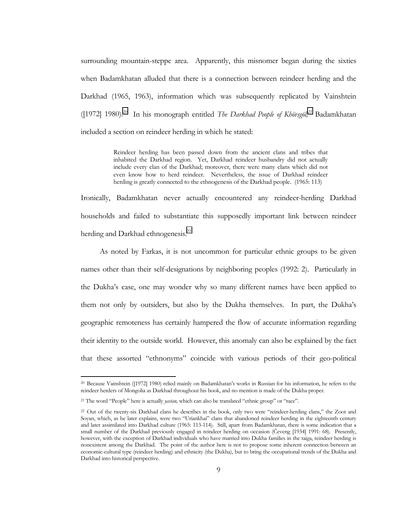surrounding mountain-steppe area. Apparently, this misnomer began during the sixties when Badamkhatan alluded that there is a connection between reindeer herding and the Darkhad (1965, 1963), information which was subsequently replicated by Vainshtein ([1972] 1980).<sup>20</sup> In his monograph entitled *The Darkhad People of Khövsgöl*,<sup>21</sup> Badamkhatan included a section on reindeer herding in which he stated:

> Reindeer herding has been passed down from the ancient clans and tribes that inhabited the Darkhad region. Yet, Darkhad reindeer husbandry did not actually include every clan of the Darkhad; moreover, there were many clans which did not even know how to herd reindeer. Nevertheless, the issue of Darkhad reindeer herding is greatly connected to the ethnogenesis of the Darkhad people. (1965: 113)

Ironically, Badamkhatan never actually encountered any reindeer-herding Darkhad households and failed to substantiate this supposedly important link between reindeer herding and Darkhad ethnogenesis.<sup>22</sup>

As noted by Farkas, it is not uncommon for particular ethnic groups to be given names other than their self-designations by neighboring peoples (1992: 2). Particularly in the Dukhaís case, one may wonder why so many different names have been applied to them not only by outsiders, but also by the Dukha themselves. In part, the Dukhaís geographic remoteness has certainly hampered the flow of accurate information regarding their identity to the outside world. However, this anomaly can also be explained by the fact that these assorted "ethnonyms" coincide with various periods of their geo-political

<sup>20</sup> Because Vainshtein ([1972] 1980) relied mainly on Badamkhatanís works in Russian for his information, he refers to the reindeer herders of Mongolia as Darkhad throughout his book, and no mention is made of the Dukha proper.

<sup>&</sup>lt;sup>21</sup> The word "People" here is actually *yastan*, which can also be translated "ethnic group" or "race".

<sup>&</sup>lt;sup>22</sup> Out of the twenty-six Darkhad clans he describes in the book, only two were "reindeer-herding clans," the Zoot and Soyan, which, as he later explains, were two "Uriankhai" clans that abandoned reindeer herding in the eighteenth century and later assimilated into Darkhad culture (1965: 113-114). Still, apart from Badamkhatan, there is some indication that a small number of the Darkhad previously engaged in reindeer herding on occasion (Čeveng [1934] 1991: 68). Presently, however, with the exception of Darkhad individuals who have married into Dukha families in the taiga, reindeer herding is nonexistent among the Darkhad. The point of the author here is not to propose some inherent connection between an economic-cultural type (reindeer herding) and ethnicity (the Dukha), but to bring the occupational trends of the Dukha and Darkhad into historical perspective.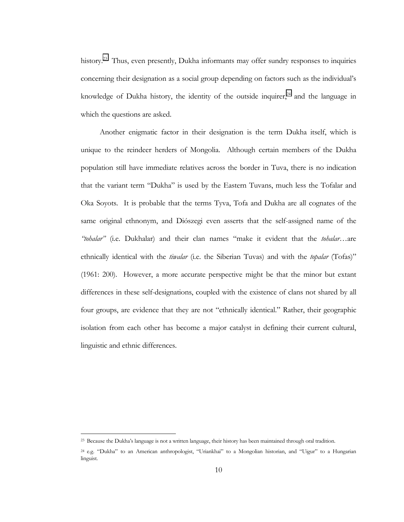history.<sup>23</sup> Thus, even presently, Dukha informants may offer sundry responses to inquiries concerning their designation as a social group depending on factors such as the individualís knowledge of Dukha history, the identity of the outside inquirer, $24$  and the language in which the questions are asked.

Another enigmatic factor in their designation is the term Dukha itself, which is unique to the reindeer herders of Mongolia. Although certain members of the Dukha population still have immediate relatives across the border in Tuva, there is no indication that the variant term "Dukha" is used by the Eastern Tuvans, much less the Tofalar and Oka Soyots. It is probable that the terms Tyva, Tofa and Dukha are all cognates of the same original ethnonym, and Diószegi even asserts that the self-assigned name of the "tohalar" (i.e. Dukhalar) and their clan names "make it evident that the *tohalar*...are ethnically identical with the *tiwalar* (i.e. the Siberian Tuvas) and with the *topalar* (Tofas)<sup>"</sup> (1961: 200). However, a more accurate perspective might be that the minor but extant differences in these self-designations, coupled with the existence of clans not shared by all four groups, are evidence that they are not "ethnically identical." Rather, their geographic isolation from each other has become a major catalyst in defining their current cultural, linguistic and ethnic differences.

<sup>23</sup> Because the Dukhaís language is not a written language, their history has been maintained through oral tradition.

<sup>&</sup>lt;sup>24</sup> e.g. "Dukha" to an American anthropologist, "Uriankhai" to a Mongolian historian, and "Uigur" to a Hungarian linguist.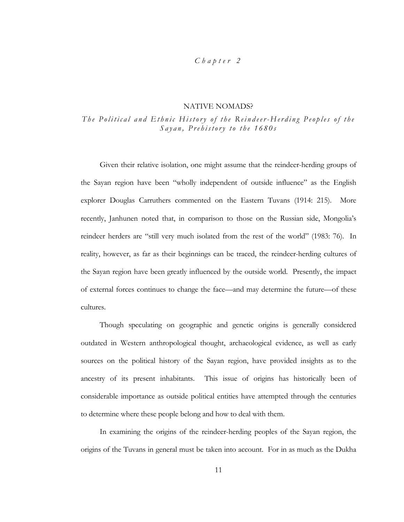## *Chapter 2*

### NATIVE NOMADS?

## *The Political and Ethnic History of the Reindeer-Herding Peoples of the Sayan, Prehistory to the 1680s*

Given their relative isolation, one might assume that the reindeer-herding groups of the Sayan region have been "wholly independent of outside influence" as the English explorer Douglas Carruthers commented on the Eastern Tuvans (1914: 215). More recently, Janhunen noted that, in comparison to those on the Russian side, Mongoliaís reindeer herders are "still very much isolated from the rest of the world" (1983: 76). In reality, however, as far as their beginnings can be traced, the reindeer-herding cultures of the Sayan region have been greatly influenced by the outside world. Presently, the impact of external forces continues to change the face—and may determine the future—of these cultures.

Though speculating on geographic and genetic origins is generally considered outdated in Western anthropological thought, archaeological evidence, as well as early sources on the political history of the Sayan region, have provided insights as to the ancestry of its present inhabitants. This issue of origins has historically been of considerable importance as outside political entities have attempted through the centuries to determine where these people belong and how to deal with them.

In examining the origins of the reindeer-herding peoples of the Sayan region, the origins of the Tuvans in general must be taken into account. For in as much as the Dukha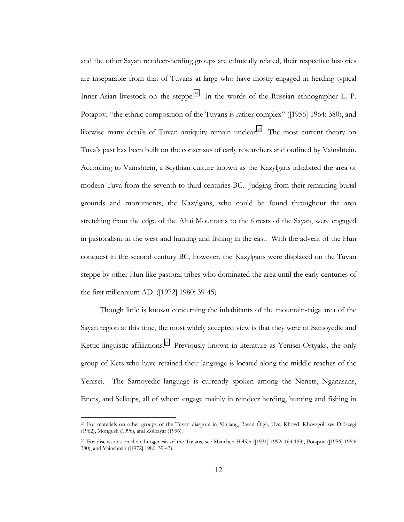and the other Sayan reindeer-herding groups are ethnically related, their respective histories are inseparable from that of Tuvans at large who have mostly engaged in herding typical Inner-Asian livestock on the steppe.<sup>25</sup> In the words of the Russian ethnographer L. P. Potapov, "the ethnic composition of the Tuvans is rather complex" ([1956] 1964: 380), and likewise many details of Tuvan antiquity remain unclear.<sup>26</sup> The most current theory on Tuvaís past has been built on the consensus of early researchers and outlined by Vainshtein. According to Vainshtein, a Scythian culture known as the Kazylgans inhabited the area of modern Tuva from the seventh to third centuries BC. Judging from their remaining burial grounds and monuments, the Kazylgans, who could be found throughout the area stretching from the edge of the Altai Mountains to the forests of the Sayan, were engaged in pastoralism in the west and hunting and fishing in the east. With the advent of the Hun conquest in the second century BC, however, the Kazylgans were displaced on the Tuvan steppe by other Hun-like pastoral tribes who dominated the area until the early centuries of the first millennium AD. ([1972] 1980: 39-45)

Though little is known concerning the inhabitants of the mountain-taiga area of the Sayan region at this time, the most widely accepted view is that they were of Samoyedic and Kettic linguistic affiliations.<sup>27</sup> Previously known in literature as Yenisei Ostyaks, the only group of Kets who have retained their language is located along the middle reaches of the Yenisei. The Samoyedic language is currently spoken among the Nenets, Nganasans, Enets, and Selkups, all of whom engage mainly in reindeer herding, hunting and fishing in

<sup>&</sup>lt;sup>25</sup> For materials on other groups of the Tuvan diaspora in Xinjiang, Bayan Ölgii, Uvs, Khovd, Khövsgöl, see Diószegi (1962), Mongush (1996), and Zolbayar (1996).

 $26$  For discussions on the ethnogenesis of the Tuvans, see Mänchen-Helfen ([1931] 1992: 164-183), Potapov ([1956] 1964: 380), and Vainshtein ([1972] 1980: 39-43).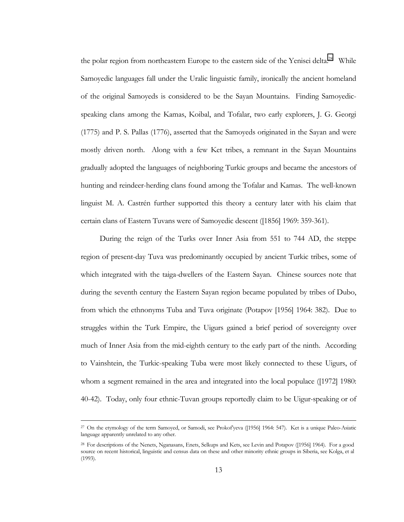the polar region from northeastern Europe to the eastern side of the Yenisei delta.<sup>28</sup> While Samoyedic languages fall under the Uralic linguistic family, ironically the ancient homeland of the original Samoyeds is considered to be the Sayan Mountains. Finding Samoyedicspeaking clans among the Kamas, Koibal, and Tofalar, two early explorers, J. G. Georgi (1775) and P. S. Pallas (1776), asserted that the Samoyeds originated in the Sayan and were mostly driven north. Along with a few Ket tribes, a remnant in the Sayan Mountains gradually adopted the languages of neighboring Turkic groups and became the ancestors of hunting and reindeer-herding clans found among the Tofalar and Kamas. The well-known linguist M. A. Castrén further supported this theory a century later with his claim that certain clans of Eastern Tuvans were of Samoyedic descent ([1856] 1969: 359-361).

During the reign of the Turks over Inner Asia from 551 to 744 AD, the steppe region of present-day Tuva was predominantly occupied by ancient Turkic tribes, some of which integrated with the taiga-dwellers of the Eastern Sayan. Chinese sources note that during the seventh century the Eastern Sayan region became populated by tribes of Dubo, from which the ethnonyms Tuba and Tuva originate (Potapov [1956] 1964: 382). Due to struggles within the Turk Empire, the Uigurs gained a brief period of sovereignty over much of Inner Asia from the mid-eighth century to the early part of the ninth. According to Vainshtein, the Turkic-speaking Tuba were most likely connected to these Uigurs, of whom a segment remained in the area and integrated into the local populace ([1972] 1980: 40-42). Today, only four ethnic-Tuvan groups reportedly claim to be Uigur-speaking or of

<sup>&</sup>lt;sup>27</sup> On the etymology of the term Samoyed, or Samodi, see Prokof yeva ([1956] 1964: 547). Ket is a unique Paleo-Asiatic language apparently unrelated to any other.

<sup>28</sup> For descriptions of the Nenets, Nganasans, Enets, Selkups and Kets, see Levin and Potapov ([1956] 1964). For a good source on recent historical, linguistic and census data on these and other minority ethnic groups in Siberia, see Kolga, et al (1993).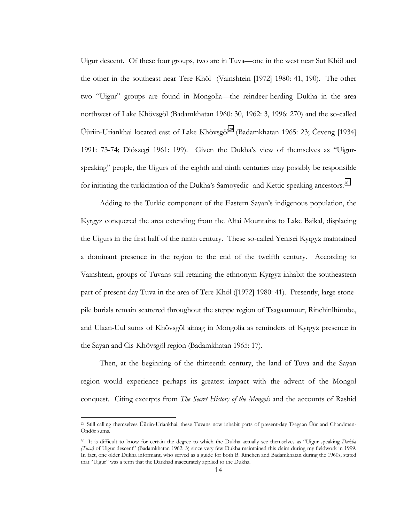Uigur descent. Of these four groups, two are in Tuva—one in the west near Sut Khöl and the other in the southeast near Tere Khöl (Vainshtein [1972] 1980: 41, 190). The other two "Uigur" groups are found in Mongolia—the reindeer-herding Dukha in the area northwest of Lake Khövsgöl (Badamkhatan 1960: 30, 1962: 3, 1996: 270) and the so-called Üüriin-Uriankhai located east of Lake Khövsgöl<sup>29</sup> (Badamkhatan 1965: 23; Čeveng [1934] 1991: 73-74; Diószegi 1961: 199). Given the Dukha's view of themselves as "Uigurspeaking" people, the Uigurs of the eighth and ninth centuries may possibly be responsible for initiating the turkicization of the Dukha's Samoyedic- and Kettic-speaking ancestors.<sup>30</sup>

Adding to the Turkic component of the Eastern Sayan's indigenous population, the Kyrgyz conquered the area extending from the Altai Mountains to Lake Baikal, displacing the Uigurs in the first half of the ninth century. These so-called Yenisei Kyrgyz maintained a dominant presence in the region to the end of the twelfth century. According to Vainshtein, groups of Tuvans still retaining the ethnonym Kyrgyz inhabit the southeastern part of present-day Tuva in the area of Tere Khöl ([1972] 1980: 41). Presently, large stonepile burials remain scattered throughout the steppe region of Tsagaannuur, Rinchinlhümbe, and Ulaan-Uul sums of Khövsgöl aimag in Mongolia as reminders of Kyrgyz presence in the Sayan and Cis-Khövsgöl region (Badamkhatan 1965: 17).

Then, at the beginning of the thirteenth century, the land of Tuva and the Sayan region would experience perhaps its greatest impact with the advent of the Mongol conquest. Citing excerpts from *The Secret History of the Mongols* and the accounts of Rashid

<sup>&</sup>lt;sup>29</sup> Still calling themselves Üüriin-Uriankhai, these Tuvans now inhabit parts of present-day Tsagaan Üür and Chandman-Öndör sums.

<sup>&</sup>lt;sup>30</sup> It is difficult to know for certain the degree to which the Dukha actually see themselves as "Uigur-speaking *Dukha (Tuva)* of Uigur descentî (Badamkhatan 1962: 3) since very few Dukha maintained this claim during my fieldwork in 1999. In fact, one older Dukha informant, who served as a guide for both B. Rinchen and Badamkhatan during the 1960s, stated that "Uigur" was a term that the Darkhad inaccurately applied to the Dukha.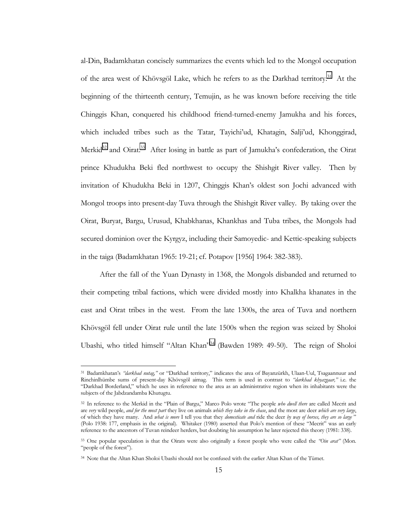al-Din, Badamkhatan concisely summarizes the events which led to the Mongol occupation of the area west of Khövsgöl Lake, which he refers to as the Darkhad territory.<sup>31</sup> At the beginning of the thirteenth century, Temujin, as he was known before receiving the title Chinggis Khan, conquered his childhood friend-turned-enemy Jamukha and his forces, which included tribes such as the Tatar, Tayichiíud, Khatagin, Saljiíud, Khonggirad, Merkid<sup>32</sup> and Oirat.<sup>33</sup> After losing in battle as part of Jamukha's confederation, the Oirat prince Khudukha Beki fled northwest to occupy the Shishgit River valley. Then by invitation of Khudukha Beki in 1207, Chinggis Khanís oldest son Jochi advanced with Mongol troops into present-day Tuva through the Shishgit River valley. By taking over the Oirat, Buryat, Bargu, Urusud, Khabkhanas, Khankhas and Tuba tribes, the Mongols had secured dominion over the Kyrgyz, including their Samoyedic- and Kettic-speaking subjects in the taiga (Badamkhatan 1965: 19-21; cf. Potapov [1956] 1964: 382-383).

After the fall of the Yuan Dynasty in 1368, the Mongols disbanded and returned to their competing tribal factions, which were divided mostly into Khalkha khanates in the east and Oirat tribes in the west. From the late 1300s, the area of Tuva and northern Khövsgöl fell under Oirat rule until the late 1500s when the region was seized by Sholoi Ubashi, who titled himself "Altan Khan"<sup>34</sup> (Bawden 1989: 49-50). The reign of Sholoi

<sup>31</sup> Badamkhatan's "darkhad nutag," or "Darkhad territory," indicates the area of Bayanzürkh, Ulaan-Uul, Tsagaannuur and Rinchinlhümbe sums of present-day Khövsgöl aimag. This term is used in contrast to *'darkhad khyazgaar*," i.e. the ìDarkhad Borderland,î which he uses in reference to the area as an administrative region when its inhabitants were the subjects of the Jabdzandamba Khutugtu.

<sup>&</sup>lt;sup>32</sup> In reference to the Merkid in the "Plain of Bargu," Marco Polo wrote "The people *who dwell there* are called Mecrit and are *very* wild people, *and for the most part* they live on animals *which they take in the chase*, and the most are deer *which are very large*, of which they have many. And *what is more* I tell you that they *domesticate and* ride the deer *by way of horses, they are so large* î (Polo 1938: 177, emphasis in the original). Whitaker (1980) asserted that Polo's mention of these "Mecrit<sup>9</sup> was an early reference to the ancestors of Tuvan reindeer herders, but doubting his assumption he later rejected this theory (1981: 338).

<sup>33</sup> One popular speculation is that the Oirats were also originally a forest people who were called the *ìOin aratî* (Mon*.* "people of the forest").

<sup>34</sup> Note that the Altan Khan Sholoi Ubashi should not be confused with the earlier Altan Khan of the Tümet.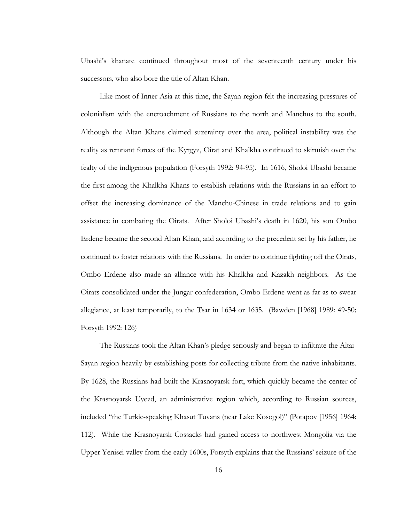Ubashiís khanate continued throughout most of the seventeenth century under his successors, who also bore the title of Altan Khan.

Like most of Inner Asia at this time, the Sayan region felt the increasing pressures of colonialism with the encroachment of Russians to the north and Manchus to the south. Although the Altan Khans claimed suzerainty over the area, political instability was the reality as remnant forces of the Kyrgyz, Oirat and Khalkha continued to skirmish over the fealty of the indigenous population (Forsyth 1992: 94-95). In 1616, Sholoi Ubashi became the first among the Khalkha Khans to establish relations with the Russians in an effort to offset the increasing dominance of the Manchu-Chinese in trade relations and to gain assistance in combating the Oirats. After Sholoi Ubashi's death in 1620, his son Ombo Erdene became the second Altan Khan, and according to the precedent set by his father, he continued to foster relations with the Russians. In order to continue fighting off the Oirats, Ombo Erdene also made an alliance with his Khalkha and Kazakh neighbors. As the Oirats consolidated under the Jungar confederation, Ombo Erdene went as far as to swear allegiance, at least temporarily, to the Tsar in 1634 or 1635. (Bawden [1968] 1989: 49-50; Forsyth 1992: 126)

The Russians took the Altan Khanís pledge seriously and began to infiltrate the Altai-Sayan region heavily by establishing posts for collecting tribute from the native inhabitants. By 1628, the Russians had built the Krasnoyarsk fort, which quickly became the center of the Krasnoyarsk Uyezd, an administrative region which, according to Russian sources, included "the Turkic-speaking Khasut Tuvans (near Lake Kosogol)" (Potapov [1956] 1964: 112). While the Krasnoyarsk Cossacks had gained access to northwest Mongolia via the Upper Yenisei valley from the early 1600s, Forsyth explains that the Russians' seizure of the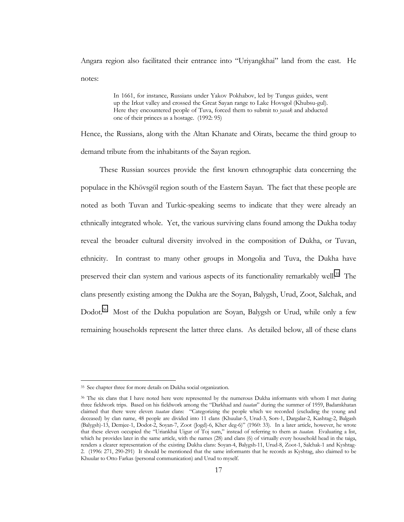Angara region also facilitated their entrance into "Uriyangkhai" land from the east. He notes:

> In 1661, for instance, Russians under Yakov Pokhabov, led by Tungus guides, went up the Irkut valley and crossed the Great Sayan range to Lake Hovsgol (Khubsu-gul). Here they encountered people of Tuva, forced them to submit to *yasak* and abducted one of their princes as a hostage. (1992: 95)

Hence, the Russians, along with the Altan Khanate and Oirats, became the third group to demand tribute from the inhabitants of the Sayan region.

These Russian sources provide the first known ethnographic data concerning the populace in the Khövsgöl region south of the Eastern Sayan. The fact that these people are noted as both Tuvan and Turkic-speaking seems to indicate that they were already an ethnically integrated whole. Yet, the various surviving clans found among the Dukha today reveal the broader cultural diversity involved in the composition of Dukha, or Tuvan, ethnicity. In contrast to many other groups in Mongolia and Tuva, the Dukha have preserved their clan system and various aspects of its functionality remarkably well.<sup>35</sup> The clans presently existing among the Dukha are the Soyan, Balygsh, Urud, Zoot, Salchak, and Dodot.<sup>36</sup> Most of the Dukha population are Soyan, Balygsh or Urud, while only a few remaining households represent the latter three clans. As detailed below, all of these clans

<sup>35</sup> See chapter three for more details on Dukha social organization.

<sup>&</sup>lt;sup>36</sup> The six clans that I have noted here were represented by the numerous Dukha informants with whom I met during three fieldwork trips. Based on his fieldwork among the "Darkhad and *tsaatan*" during the summer of 1959, Badamkhatan claimed that there were eleven *tsaatan* clans: "Categorizing the people which we recorded (excluding the young and deceased) by clan name, 48 people are divided into 11 clans (Khuular-5, Urud-3, Sors-1, Dargalar-2, Kashtag-2, Balgash (Balygsh)-13, Demjee-1, Dodot-2, Soyan-7, Zoot (Jogd)-6, Kher deg-6)" (1960: 33). In a later article, however, he wrote that these eleven occupied the "Uriankhai Uigur of Toj sum," instead of referring to them as *tsaatan*. Evaluating a list, which he provides later in the same article, with the names (28) and clans (6) of virtually every household head in the taiga, renders a clearer representation of the existing Dukha clans: Soyan-4, Balygsh-11, Urud-8, Zoot-1, Salchak-1 and Kyshtag-2. (1996: 271, 290-291) It should be mentioned that the same informants that he records as Kyshtag, also claimed to be Khuular to Otto Farkas (personal communication) and Urud to myself.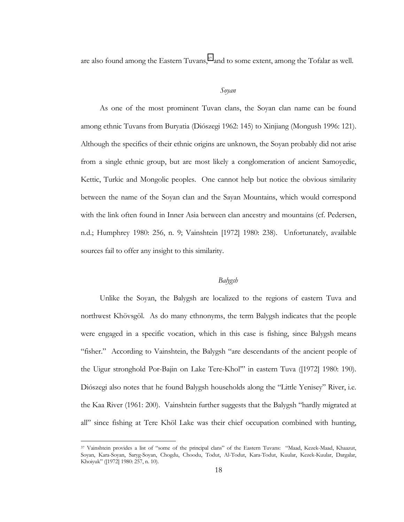are also found among the Eastern Tuvans,<sup>37</sup> and to some extent, among the Tofalar as well.

### *Soyan*

As one of the most prominent Tuvan clans, the Soyan clan name can be found among ethnic Tuvans from Buryatia (Diószegi 1962: 145) to Xinjiang (Mongush 1996: 121). Although the specifics of their ethnic origins are unknown, the Soyan probably did not arise from a single ethnic group, but are most likely a conglomeration of ancient Samoyedic, Kettic, Turkic and Mongolic peoples. One cannot help but notice the obvious similarity between the name of the Soyan clan and the Sayan Mountains, which would correspond with the link often found in Inner Asia between clan ancestry and mountains (cf. Pedersen, n.d.; Humphrey 1980: 256, n. 9; Vainshtein [1972] 1980: 238). Unfortunately, available sources fail to offer any insight to this similarity.

## *Balygsh*

Unlike the Soyan, the Balygsh are localized to the regions of eastern Tuva and northwest Khövsgöl. As do many ethnonyms, the term Balygsh indicates that the people were engaged in a specific vocation, which in this case is fishing, since Balygsh means "fisher." According to Vainshtein, the Balygsh "are descendants of the ancient people of the Uigur stronghold Por-Bajin on Lake Tere-Khol" in eastern Tuva ([1972] 1980: 190). Diószegi also notes that he found Balygsh households along the "Little Yenisey" River, i.e. the Kaa River (1961: 200). Vainshtein further suggests that the Balygsh "hardly migrated at all" since fishing at Tere Khöl Lake was their chief occupation combined with hunting,

<sup>37</sup> Vainshtein provides a list of "some of the principal clans" of the Eastern Tuvans: "Maad, Kezek-Maad, Khaazut, Soyan, Kara-Soyan, Saryg-Soyan, Chogdu, Choodu, Todut, Al-Todut, Kara-Todut, Kuular, Kezek-Kuular, Dargalar, Khoiyuk" ([1972] 1980: 257, n. 10).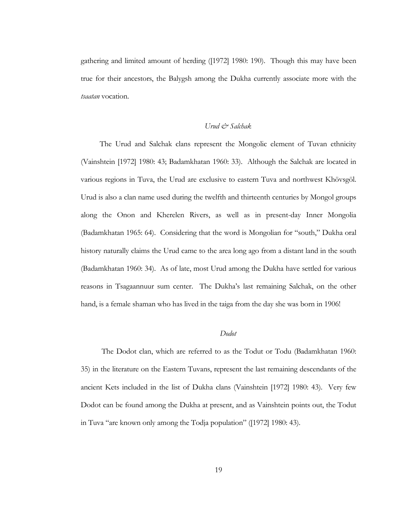gathering and limited amount of herding ([1972] 1980: 190). Though this may have been true for their ancestors, the Balygsh among the Dukha currently associate more with the *tsaatan* vocation.

## *Urud & Salchak*

The Urud and Salchak clans represent the Mongolic element of Tuvan ethnicity (Vainshtein [1972] 1980: 43; Badamkhatan 1960: 33). Although the Salchak are located in various regions in Tuva, the Urud are exclusive to eastern Tuva and northwest Khövsgöl. Urud is also a clan name used during the twelfth and thirteenth centuries by Mongol groups along the Onon and Kherelen Rivers, as well as in present-day Inner Mongolia (Badamkhatan 1965: 64). Considering that the word is Mongolian for "south," Dukha oral history naturally claims the Urud came to the area long ago from a distant land in the south (Badamkhatan 1960: 34). As of late, most Urud among the Dukha have settled for various reasons in Tsagaannuur sum center. The Dukhaís last remaining Salchak, on the other hand, is a female shaman who has lived in the taiga from the day she was born in 1906!

#### *Dodot*

 The Dodot clan, which are referred to as the Todut or Todu (Badamkhatan 1960: 35) in the literature on the Eastern Tuvans, represent the last remaining descendants of the ancient Kets included in the list of Dukha clans (Vainshtein [1972] 1980: 43). Very few Dodot can be found among the Dukha at present, and as Vainshtein points out, the Todut in Tuva "are known only among the Todja population" ([1972] 1980: 43).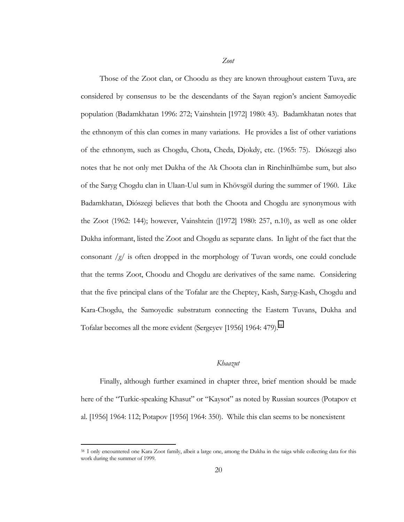*Zoot*

Those of the Zoot clan, or Choodu as they are known throughout eastern Tuva, are considered by consensus to be the descendants of the Sayan region's ancient Samoyedic population (Badamkhatan 1996: 272; Vainshtein [1972] 1980: 43). Badamkhatan notes that the ethnonym of this clan comes in many variations. He provides a list of other variations of the ethnonym, such as Chogdu, Chota, Cheda, Djokdy, etc. (1965: 75). Diószegi also notes that he not only met Dukha of the Ak Choota clan in Rinchinlhümbe sum, but also of the Saryg Chogdu clan in Ulaan-Uul sum in Khövsgöl during the summer of 1960. Like Badamkhatan, Diószegi believes that both the Choota and Chogdu are synonymous with the Zoot (1962: 144); however, Vainshtein ([1972] 1980: 257, n.10), as well as one older Dukha informant, listed the Zoot and Chogdu as separate clans. In light of the fact that the consonant */g/* is often dropped in the morphology of Tuvan words, one could conclude that the terms Zoot, Choodu and Chogdu are derivatives of the same name. Considering that the five principal clans of the Tofalar are the Cheptey, Kash, Saryg-Kash, Chogdu and Kara-Chogdu, the Samoyedic substratum connecting the Eastern Tuvans, Dukha and Tofalar becomes all the more evident (Sergeyev [1956] 1964: 479).<sup>38</sup>

#### *Khaazut*

Finally, although further examined in chapter three, brief mention should be made here of the "Turkic-speaking Khasut" or "Kaysot" as noted by Russian sources (Potapov et al. [1956] 1964: 112; Potapov [1956] 1964: 350). While this clan seems to be nonexistent

<sup>38</sup> I only encountered one Kara Zoot family, albeit a large one, among the Dukha in the taiga while collecting data for this work during the summer of 1999.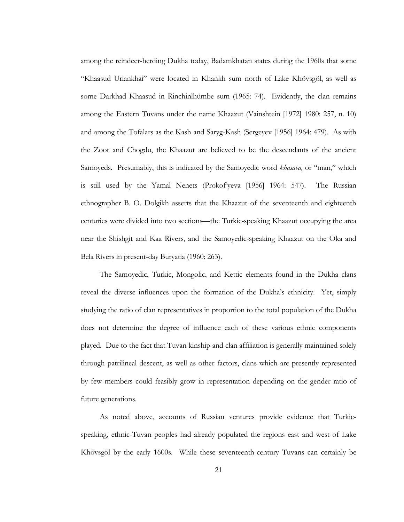among the reindeer-herding Dukha today, Badamkhatan states during the 1960s that some "Khaasud Uriankhai" were located in Khankh sum north of Lake Khövsgöl, as well as some Darkhad Khaasud in Rinchinlhümbe sum (1965: 74). Evidently, the clan remains among the Eastern Tuvans under the name Khaazut (Vainshtein [1972] 1980: 257, n. 10) and among the Tofalars as the Kash and Saryg-Kash (Sergeyev [1956] 1964: 479). As with the Zoot and Chogdu, the Khaazut are believed to be the descendants of the ancient Samoyeds. Presumably, this is indicated by the Samoyedic word *khasava*, or "man," which is still used by the Yamal Nenets (Prokof'yeva [1956] 1964: 547). The Russian ethnographer B. O. Dolgikh asserts that the Khaazut of the seventeenth and eighteenth centuries were divided into two sections—the Turkic-speaking Khaazut occupying the area near the Shishgit and Kaa Rivers, and the Samoyedic-speaking Khaazut on the Oka and Bela Rivers in present-day Buryatia (1960: 263).

The Samoyedic, Turkic, Mongolic, and Kettic elements found in the Dukha clans reveal the diverse influences upon the formation of the Dukha's ethnicity. Yet, simply studying the ratio of clan representatives in proportion to the total population of the Dukha does not determine the degree of influence each of these various ethnic components played. Due to the fact that Tuvan kinship and clan affiliation is generally maintained solely through patrilineal descent, as well as other factors, clans which are presently represented by few members could feasibly grow in representation depending on the gender ratio of future generations.

As noted above, accounts of Russian ventures provide evidence that Turkicspeaking, ethnic-Tuvan peoples had already populated the regions east and west of Lake Khövsgöl by the early 1600s. While these seventeenth-century Tuvans can certainly be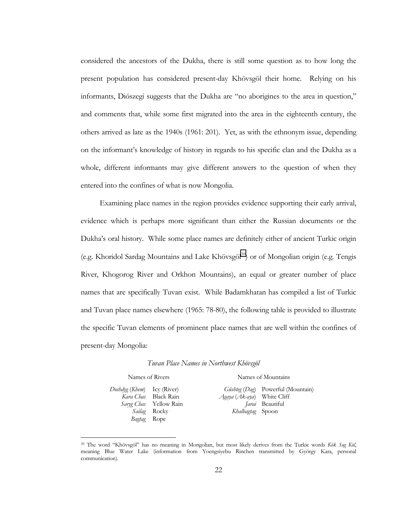considered the ancestors of the Dukha, there is still some question as to how long the present population has considered present-day Khövsgöl their home. Relying on his informants, Diószegi suggests that the Dukha are "no aborigines to the area in question," and comments that, while some first migrated into the area in the eighteenth century, the others arrived as late as the 1940s (1961: 201). Yet, as with the ethnonym issue, depending on the informantís knowledge of history in regards to his specific clan and the Dukha as a whole, different informants may give different answers to the question of when they entered into the confines of what is now Mongolia.

Examining place names in the region provides evidence supporting their early arrival, evidence which is perhaps more significant than either the Russian documents or the Dukha's oral history. While some place names are definitely either of ancient Turkic origin (e.g. Khoridol Sardag Mountains and Lake Khövsgöl<sup>39</sup>) or of Mongolian origin (e.g. Tengis River, Khogorog River and Orkhon Mountains), an equal or greater number of place names that are specifically Tuvan exist. While Badamkhatan has compiled a list of Turkic and Tuvan place names elsewhere (1965: 78-80), the following table is provided to illustrate the specific Tuvan elements of prominent place names that are well within the confines of present-day Mongolia:

Names of Rivers Names of Mountains

*Doshdyg* (*Khem*) Icy (River) *Kara Chas Saryg Chas Sailag Bagtag* Black Rain Yellow Rain Rocky Rope

 $\overline{a}$ 

Güshteg (Dag) Powerful (Mountain) *Agaya* (*Ak-aya*) *Jarai*  Beautiful *Khalbagtag*  Spoon White Cliff

<sup>&</sup>lt;sup>39</sup> The word "Khövsgöl" has no meaning in Mongolian, but most likely derives from the Turkic words Kök Sug Köl, meaning Blue Water Lake (information from Yoengsiyebu Rinchen transmitted by György Kara, personal communication).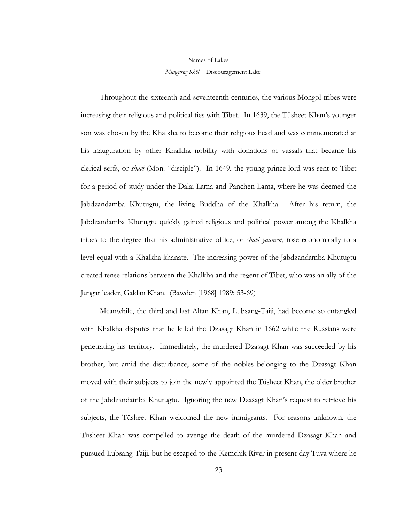#### Names of Lakes

#### *Mungarag Khˆl* Discouragement Lake

Throughout the sixteenth and seventeenth centuries, the various Mongol tribes were increasing their religious and political ties with Tibet. In 1639, the Tüsheet Khan's younger son was chosen by the Khalkha to become their religious head and was commemorated at his inauguration by other Khalkha nobility with donations of vassals that became his clerical serfs, or *shavi* (Mon. "disciple"). In 1649, the young prince-lord was sent to Tibet for a period of study under the Dalai Lama and Panchen Lama, where he was deemed the Jabdzandamba Khutugtu, the living Buddha of the Khalkha. After his return, the Jabdzandamba Khutugtu quickly gained religious and political power among the Khalkha tribes to the degree that his administrative office, or *shavi yaamen*, rose economically to a level equal with a Khalkha khanate. The increasing power of the Jabdzandamba Khutugtu created tense relations between the Khalkha and the regent of Tibet, who was an ally of the Jungar leader, Galdan Khan. (Bawden [1968] 1989: 53-69)

Meanwhile, the third and last Altan Khan, Lubsang-Taiji, had become so entangled with Khalkha disputes that he killed the Dzasagt Khan in 1662 while the Russians were penetrating his territory. Immediately, the murdered Dzasagt Khan was succeeded by his brother, but amid the disturbance, some of the nobles belonging to the Dzasagt Khan moved with their subjects to join the newly appointed the Tüsheet Khan, the older brother of the Jabdzandamba Khutugtu. Ignoring the new Dzasagt Khanís request to retrieve his subjects, the Tüsheet Khan welcomed the new immigrants. For reasons unknown, the Tüsheet Khan was compelled to avenge the death of the murdered Dzasagt Khan and pursued Lubsang-Taiji, but he escaped to the Kemchik River in present-day Tuva where he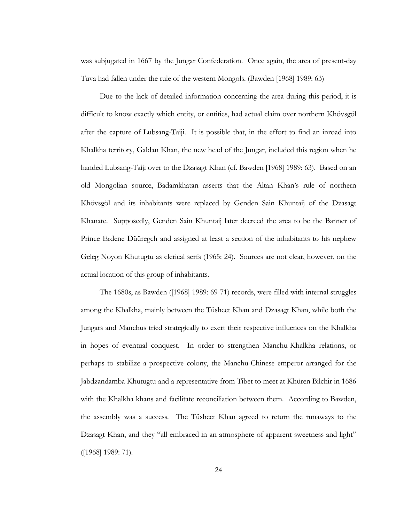was subjugated in 1667 by the Jungar Confederation. Once again, the area of present-day Tuva had fallen under the rule of the western Mongols. (Bawden [1968] 1989: 63)

Due to the lack of detailed information concerning the area during this period, it is difficult to know exactly which entity, or entities, had actual claim over northern Khövsgöl after the capture of Lubsang-Taiji. It is possible that, in the effort to find an inroad into Khalkha territory, Galdan Khan, the new head of the Jungar, included this region when he handed Lubsang-Taiji over to the Dzasagt Khan (cf. Bawden [1968] 1989: 63). Based on an old Mongolian source, Badamkhatan asserts that the Altan Khanís rule of northern Khövsgöl and its inhabitants were replaced by Genden Sain Khuntaij of the Dzasagt Khanate. Supposedly, Genden Sain Khuntaij later decreed the area to be the Banner of Prince Erdene Düüregch and assigned at least a section of the inhabitants to his nephew Geleg Noyon Khutugtu as clerical serfs (1965: 24). Sources are not clear, however, on the actual location of this group of inhabitants.

The 1680s, as Bawden ([1968] 1989: 69-71) records, were filled with internal struggles among the Khalkha, mainly between the Tüsheet Khan and Dzasagt Khan, while both the Jungars and Manchus tried strategically to exert their respective influences on the Khalkha in hopes of eventual conquest. In order to strengthen Manchu-Khalkha relations, or perhaps to stabilize a prospective colony, the Manchu-Chinese emperor arranged for the Jabdzandamba Khutugtu and a representative from Tibet to meet at Khüren Bilchir in 1686 with the Khalkha khans and facilitate reconciliation between them. According to Bawden, the assembly was a success. The Tüsheet Khan agreed to return the runaways to the Dzasagt Khan, and they "all embraced in an atmosphere of apparent sweetness and light" ([1968] 1989: 71).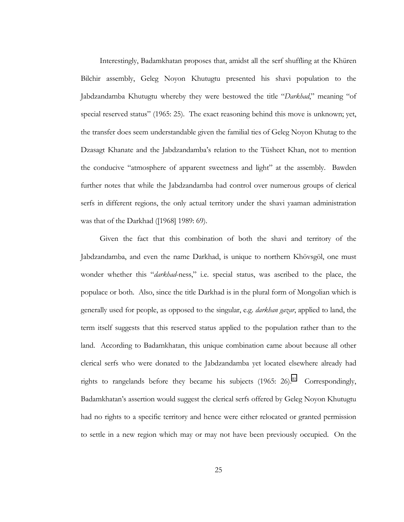Interestingly, Badamkhatan proposes that, amidst all the serf shuffling at the Khüren Bilchir assembly, Geleg Noyon Khutugtu presented his shavi population to the Jabdzandamba Khutugtu whereby they were bestowed the title *"Darkhad*," meaning "of special reserved status" (1965: 25). The exact reasoning behind this move is unknown; yet, the transfer does seem understandable given the familial ties of Geleg Noyon Khutag to the Dzasagt Khanate and the Jabdzandamba's relation to the Tüsheet Khan, not to mention the conducive "atmosphere of apparent sweetness and light" at the assembly. Bawden further notes that while the Jabdzandamba had control over numerous groups of clerical serfs in different regions, the only actual territory under the shavi yaaman administration was that of the Darkhad ([1968] 1989: 69).

Given the fact that this combination of both the shavi and territory of the Jabdzandamba, and even the name Darkhad, is unique to northern Khövsgöl, one must wonder whether this *"darkhad-ness*," i.e. special status, was ascribed to the place, the populace or both. Also, since the title Darkhad is in the plural form of Mongolian which is generally used for people, as opposed to the singular, e.g. *darkhan gazar*, applied to land, the term itself suggests that this reserved status applied to the population rather than to the land. According to Badamkhatan, this unique combination came about because all other clerical serfs who were donated to the Jabdzandamba yet located elsewhere already had rights to rangelands before they became his subjects  $(1965: 26)^{40}$  Correspondingly, Badamkhatanís assertion would suggest the clerical serfs offered by Geleg Noyon Khutugtu had no rights to a specific territory and hence were either relocated or granted permission to settle in a new region which may or may not have been previously occupied. On the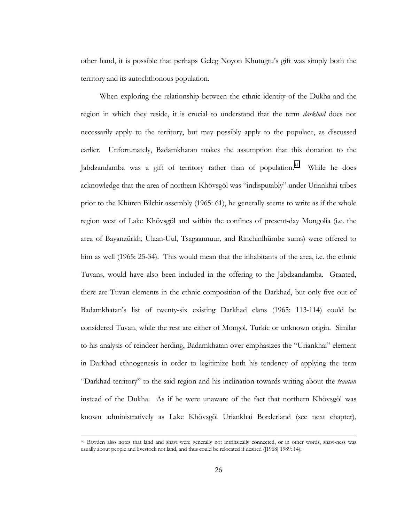other hand, it is possible that perhaps Geleg Noyon Khutugtuís gift was simply both the territory and its autochthonous population.

When exploring the relationship between the ethnic identity of the Dukha and the region in which they reside, it is crucial to understand that the term *darkhad* does not necessarily apply to the territory, but may possibly apply to the populace, as discussed earlier. Unfortunately, Badamkhatan makes the assumption that this donation to the Jabdzandamba was a gift of territory rather than of population.<sup>41</sup> While he does acknowledge that the area of northern Khövsgöl was "indisputably" under Uriankhai tribes prior to the Khüren Bilchir assembly (1965: 61), he generally seems to write as if the whole region west of Lake Khövsgöl and within the confines of present-day Mongolia (i.e. the area of Bayanzürkh, Ulaan-Uul, Tsagaannuur, and Rinchinlhümbe sums) were offered to him as well (1965: 25-34). This would mean that the inhabitants of the area, i.e. the ethnic Tuvans, would have also been included in the offering to the Jabdzandamba. Granted, there are Tuvan elements in the ethnic composition of the Darkhad, but only five out of Badamkhatanís list of twenty-six existing Darkhad clans (1965: 113-114) could be considered Tuvan, while the rest are either of Mongol, Turkic or unknown origin. Similar to his analysis of reindeer herding, Badamkhatan over-emphasizes the "Uriankhai" element in Darkhad ethnogenesis in order to legitimize both his tendency of applying the term ìDarkhad territoryî to the said region and his inclination towards writing about the *tsaatan* instead of the Dukha. As if he were unaware of the fact that northern Khövsgöl was known administratively as Lake Khövsgöl Uriankhai Borderland (see next chapter),

 <sup>40</sup> Bawden also notes that land and shavi were generally not intrinsically connected, or in other words, shavi-ness was usually about people and livestock not land, and thus could be relocated if desired ([1968] 1989: 14).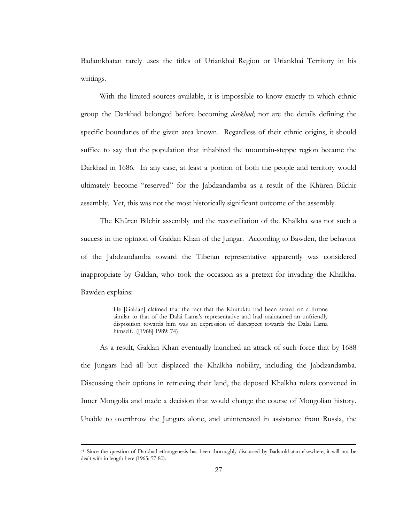Badamkhatan rarely uses the titles of Uriankhai Region or Uriankhai Territory in his writings.

With the limited sources available, it is impossible to know exactly to which ethnic group the Darkhad belonged before becoming *darkhad*; nor are the details defining the specific boundaries of the given area known. Regardless of their ethnic origins, it should suffice to say that the population that inhabited the mountain-steppe region became the Darkhad in 1686. In any case, at least a portion of both the people and territory would ultimately become "reserved" for the Jabdzandamba as a result of the Khüren Bilchir assembly. Yet, this was not the most historically significant outcome of the assembly.

The Khüren Bilchir assembly and the reconciliation of the Khalkha was not such a success in the opinion of Galdan Khan of the Jungar. According to Bawden, the behavior of the Jabdzandamba toward the Tibetan representative apparently was considered inappropriate by Galdan, who took the occasion as a pretext for invading the Khalkha. Bawden explains:

> He [Galdan] claimed that the fact that the Khutuktu had been seated on a throne similar to that of the Dalai Lama's representative and had maintained an unfriendly disposition towards him was an expression of disrespect towards the Dalai Lama himself. ([1968] 1989: 74)

As a result, Galdan Khan eventually launched an attack of such force that by 1688 the Jungars had all but displaced the Khalkha nobility, including the Jabdzandamba. Discussing their options in retrieving their land, the deposed Khalkha rulers convened in Inner Mongolia and made a decision that would change the course of Mongolian history. Unable to overthrow the Jungars alone, and uninterested in assistance from Russia, the

<sup>&</sup>lt;sup>41</sup> Since the question of Darkhad ethnogenesis has been thoroughly discussed by Badamkhatan elsewhere, it will not be dealt with in length here (1965: 57-80).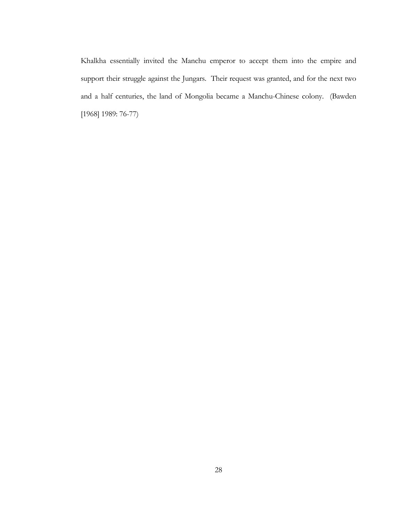Khalkha essentially invited the Manchu emperor to accept them into the empire and support their struggle against the Jungars. Their request was granted, and for the next two and a half centuries, the land of Mongolia became a Manchu-Chinese colony. (Bawden [1968] 1989: 76-77)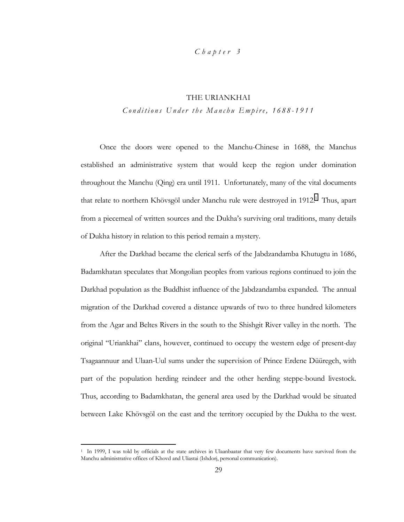## *Chapter 3*

## THE URIANKHAI

*Conditions Under the Manchu Empire, 1688-1911* 

Once the doors were opened to the Manchu-Chinese in 1688, the Manchus established an administrative system that would keep the region under domination throughout the Manchu (Qing) era until 1911. Unfortunately, many of the vital documents that relate to northern Khövsgöl under Manchu rule were destroyed in 1912.<sup>1</sup> Thus, apart from a piecemeal of written sources and the Dukhaís surviving oral traditions, many details of Dukha history in relation to this period remain a mystery.

After the Darkhad became the clerical serfs of the Jabdzandamba Khutugtu in 1686, Badamkhatan speculates that Mongolian peoples from various regions continued to join the Darkhad population as the Buddhist influence of the Jabdzandamba expanded. The annual migration of the Darkhad covered a distance upwards of two to three hundred kilometers from the Agar and Beltes Rivers in the south to the Shishgit River valley in the north. The original "Uriankhai" clans, however, continued to occupy the western edge of present-day Tsagaannuur and Ulaan-Uul sums under the supervision of Prince Erdene Düüregch, with part of the population herding reindeer and the other herding steppe-bound livestock. Thus, according to Badamkhatan, the general area used by the Darkhad would be situated between Lake Khövsgöl on the east and the territory occupied by the Dukha to the west.

<sup>&</sup>lt;sup>1</sup> In 1999, I was told by officials at the state archives in Ulaanbaatar that very few documents have survived from the Manchu administrative offices of Khovd and Uliastai (Ishdorj, personal communication).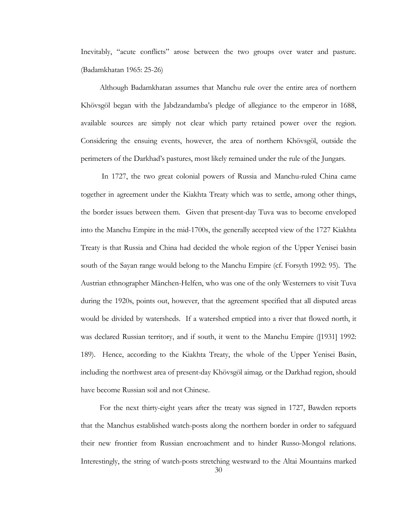Inevitably, "acute conflicts" arose between the two groups over water and pasture. (Badamkhatan 1965: 25-26)

Although Badamkhatan assumes that Manchu rule over the entire area of northern Khövsgöl began with the Jabdzandamba's pledge of allegiance to the emperor in 1688, available sources are simply not clear which party retained power over the region. Considering the ensuing events, however, the area of northern Khövsgöl, outside the perimeters of the Darkhad's pastures, most likely remained under the rule of the Jungars.

 In 1727, the two great colonial powers of Russia and Manchu-ruled China came together in agreement under the Kiakhta Treaty which was to settle, among other things, the border issues between them. Given that present-day Tuva was to become enveloped into the Manchu Empire in the mid-1700s, the generally accepted view of the 1727 Kiakhta Treaty is that Russia and China had decided the whole region of the Upper Yenisei basin south of the Sayan range would belong to the Manchu Empire (cf. Forsyth 1992: 95). The Austrian ethnographer Mänchen-Helfen, who was one of the only Westerners to visit Tuva during the 1920s, points out, however, that the agreement specified that all disputed areas would be divided by watersheds. If a watershed emptied into a river that flowed north, it was declared Russian territory, and if south, it went to the Manchu Empire ([1931] 1992: 189). Hence, according to the Kiakhta Treaty, the whole of the Upper Yenisei Basin, including the northwest area of present-day Khövsgöl aimag, or the Darkhad region, should have become Russian soil and not Chinese.

 30 For the next thirty-eight years after the treaty was signed in 1727, Bawden reports that the Manchus established watch-posts along the northern border in order to safeguard their new frontier from Russian encroachment and to hinder Russo-Mongol relations. Interestingly, the string of watch-posts stretching westward to the Altai Mountains marked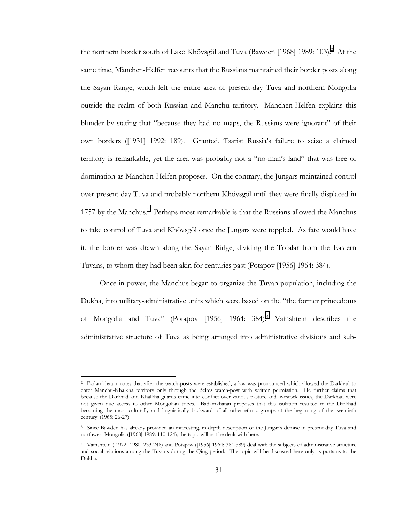the northern border south of Lake Khövsgöl and Tuva (Bawden [1968] 1989: 103).<sup>2</sup> At the same time, Mänchen-Helfen recounts that the Russians maintained their border posts along the Sayan Range, which left the entire area of present-day Tuva and northern Mongolia outside the realm of both Russian and Manchu territory. Mänchen-Helfen explains this blunder by stating that "because they had no maps, the Russians were ignorant" of their own borders ([1931] 1992: 189). Granted, Tsarist Russiaís failure to seize a claimed territory is remarkable, yet the area was probably not a "no-man's land" that was free of domination as Mänchen-Helfen proposes. On the contrary, the Jungars maintained control over present-day Tuva and probably northern Khövsgöl until they were finally displaced in 1757 by the Manchus.<sup>3</sup> Perhaps most remarkable is that the Russians allowed the Manchus to take control of Tuva and Khövsgöl once the Jungars were toppled. As fate would have it, the border was drawn along the Sayan Ridge, dividing the Tofalar from the Eastern Tuvans, to whom they had been akin for centuries past (Potapov [1956] 1964: 384).

Once in power, the Manchus began to organize the Tuvan population, including the Dukha, into military-administrative units which were based on the "the former princedoms" of Mongolia and Tuva" (Potapov [1956] 1964: 384).<sup>4</sup> Vainshtein describes the administrative structure of Tuva as being arranged into administrative divisions and sub-

<sup>2</sup> Badamkhatan notes that after the watch-posts were established, a law was pronounced which allowed the Darkhad to enter Manchu-Khalkha territory only through the Beltes watch-post with written permission. He further claims that because the Darkhad and Khalkha guards came into conflict over various pasture and livestock issues, the Darkhad were not given due access to other Mongolian tribes. Badamkhatan proposes that this isolation resulted in the Darkhad becoming the most culturally and linguistically backward of all other ethnic groups at the beginning of the twentieth century. (1965: 26-27)

<sup>&</sup>lt;sup>3</sup> Since Bawden has already provided an interesting, in-depth description of the Jungar's demise in present-day Tuva and northwest Mongolia ([1968] 1989: 110-124), the topic will not be dealt with here.

<sup>4</sup> Vainshtein ([1972] 1980: 233-248) and Potapov ([1956] 1964: 384-389) deal with the subjects of administrative structure and social relations among the Tuvans during the Qing period. The topic will be discussed here only as purtains to the Dukha.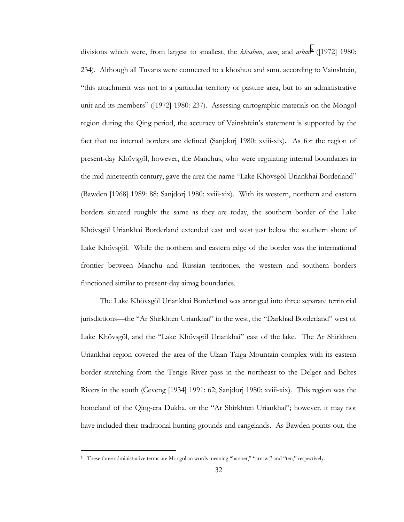divisions which were, from largest to smallest, the *khoshuu*, *sum*, and *arban*<sup>5</sup> ([1972] 1980: 234). Although all Tuvans were connected to a khoshuu and sum*,* according to Vainshtein, ìthis attachment was not to a particular territory or pasture area, but to an administrative unit and its members" ([1972] 1980: 237). Assessing cartographic materials on the Mongol region during the Qing period, the accuracy of Vainshtein's statement is supported by the fact that no internal borders are defined (Sanjdorj 1980: xviii-xix). As for the region of present-day Khövsgöl, however, the Manchus, who were regulating internal boundaries in the mid-nineteenth century, gave the area the name "Lake Khövsgöl Uriankhai Borderland" (Bawden [1968] 1989: 88; Sanjdorj 1980: xviii-xix). With its western, northern and eastern borders situated roughly the same as they are today, the southern border of the Lake Khövsgöl Uriankhai Borderland extended east and west just below the southern shore of Lake Khövsgöl. While the northern and eastern edge of the border was the international frontier between Manchu and Russian territories, the western and southern borders functioned similar to present-day aimag boundaries.

The Lake Khövsgöl Uriankhai Borderland was arranged into three separate territorial jurisdictions—the "Ar Shirkhten Uriankhai" in the west, the "Darkhad Borderland" west of Lake Khövsgöl, and the "Lake Khövsgöl Uriankhai" east of the lake. The Ar Shirkhten Uriankhai region covered the area of the Ulaan Taiga Mountain complex with its eastern border stretching from the Tengis River pass in the northeast to the Delger and Beltes Rivers in the south (Čeveng [1934] 1991: 62; Sanjdorj 1980: xviii-xix). This region was the homeland of the Qing-era Dukha, or the "Ar Shirkhten Uriankhai"; however, it may not have included their traditional hunting grounds and rangelands. As Bawden points out, the

<sup>&</sup>lt;sup>5</sup> These three administrative terms are Mongolian words meaning "banner," "arrow," and "ten," respectively.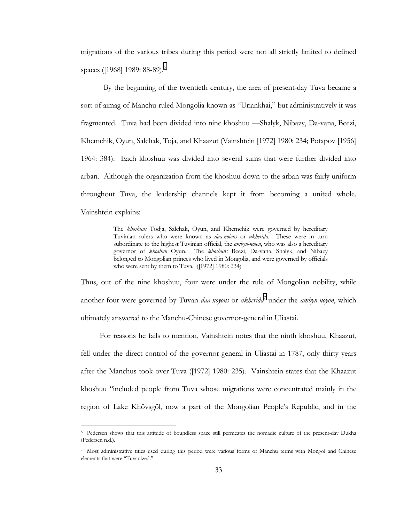migrations of the various tribes during this period were not all strictly limited to defined spaces ([1968] 1989: 88-89).<sup>6</sup>

 By the beginning of the twentieth century, the area of present-day Tuva became a sort of aimag of Manchu-ruled Mongolia known as "Uriankhai," but administratively it was fragmented. Tuva had been divided into nine khoshuu — Shalyk, Nibazy, Da-vana, Beezi, Khemchik, Oyun, Salchak, Toja, and Khaazut (Vainshtein [1972] 1980: 234; Potapov [1956] 1964: 384). Each khoshuu was divided into several sums that were further divided into arban. Although the organization from the khoshuu down to the arban was fairly uniform throughout Tuva, the leadership channels kept it from becoming a united whole. Vainshtein explains:

> The *khoshuns* Todja, Salchak, Oyun, and Khemchik were governed by hereditary Tuvinian rulers who were known as *daa-noions* or *ukherida*. These were in turn subordinate to the highest Tuvinian official, the *ambyn-noion*, who was also a hereditary governor of *khoshun* Oyun. The *khoshuns* Beezi, Da-vana, Shalyk, and Nibazy belonged to Mongolian princes who lived in Mongolia, and were governed by officials who were sent by them to Tuva. ([1972] 1980: 234)

Thus, out of the nine khoshuu, four were under the rule of Mongolian nobility, while another four were governed by Tuvan *daa-noyons* or *ukherida*<sup>7</sup> under the *ambyn-noyon*, which ultimately answered to the Manchu-Chinese governor-general in Uliastai.

For reasons he fails to mention, Vainshtein notes that the ninth khoshuu, Khaazut, fell under the direct control of the governor-general in Uliastai in 1787, only thirty years after the Manchus took over Tuva ([1972] 1980: 235). Vainshtein states that the Khaazut khoshuu "included people from Tuva whose migrations were concentrated mainly in the region of Lake Khövsgöl, now a part of the Mongolian People's Republic, and in the

<sup>6</sup> Pedersen shows that this attitude of boundless space still permeates the nomadic culture of the present-day Dukha (Pedersen n.d.).

<sup>7</sup> Most administrative titles used during this period were various forms of Manchu terms with Mongol and Chinese elements that were "Tuvanized."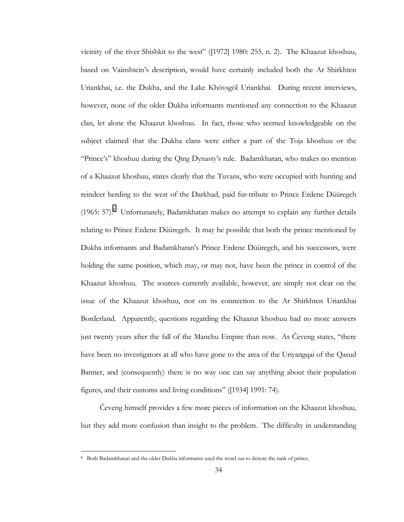vicinity of the river Shishkit to the westî ([1972] 1980: 255, n. 2). The Khaazut khoshuu, based on Vainshteinís description, would have certainly included both the Ar Shirkhten Uriankhai, i.e. the Dukha, and the Lake Khövsgöl Uriankhai. During recent interviews, however, none of the older Dukha informants mentioned any connection to the Khaazut clan, let alone the Khaazut khoshuu. In fact, those who seemed knowledgeable on the subject claimed that the Dukha clans were either a part of the Toja khoshuu or the ìPrinceísî khoshuu during the Qing Dynastyís rule. Badamkhatan, who makes no mention of a Khaazut khoshuu, states clearly that the Tuvans, who were occupied with hunting and reindeer herding to the west of the Darkhad, paid fur-tribute to Prince Erdene Düüregch (1965:  $57$ ).<sup>8</sup> Unfortunately, Badamkhatan makes no attempt to explain any further details relating to Prince Erdene Düüregch. It may be possible that both the prince mentioned by Dukha informants and Badamkhatan's Prince Erdene Düüregch, and his successors, were holding the same position, which may, or may not, have been the prince in control of the Khaazut khoshuu. The sources currently available, however, are simply not clear on the issue of the Khaazut khoshuu, nor on its connection to the Ar Shirkhten Uriankhai Borderland. Apparently, questions regarding the Khaazut khoshuu had no more answers just twenty years after the fall of the Manchu Empire than now. As Čeveng states, "there have been no investigators at all who have gone to the area of the Uriyangqai of the Qasud Banner, and (consequently) there is no way one can say anything about their population figures, and their customs and living conditions" ([1934] 1991: 74).

Čeveng himself provides a few more pieces of information on the Khaazut khoshuu*,*  but they add more confusion than insight to the problem. The difficulty in understanding

<sup>8</sup> Both Badamkhatan and the older Dukha informants used the word *van* to denote the rank of prince.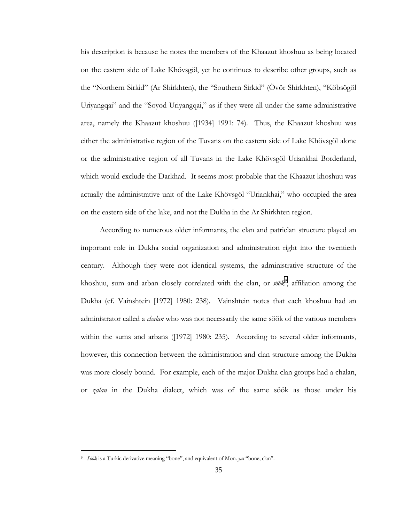his description is because he notes the members of the Khaazut khoshuu as being located on the eastern side of Lake Khövsgöl, yet he continues to describe other groups, such as the "Northern Sirkid" (Ar Shirkhten), the "Southern Sirkid" (Övör Shirkhten), "Köbsögöl Uriyangqai" and the "Soyod Uriyangqai," as if they were all under the same administrative area, namely the Khaazut khoshuu ([1934] 1991: 74). Thus, the Khaazut khoshuu was either the administrative region of the Tuvans on the eastern side of Lake Khövsgöl alone or the administrative region of all Tuvans in the Lake Khövsgöl Uriankhai Borderland, which would exclude the Darkhad. It seems most probable that the Khaazut khoshuu was actually the administrative unit of the Lake Khövsgöl "Uriankhai," who occupied the area on the eastern side of the lake, and not the Dukha in the Ar Shirkhten region.

According to numerous older informants, the clan and patriclan structure played an important role in Dukha social organization and administration right into the twentieth century. Although they were not identical systems, the administrative structure of the khoshuu, sum and arban closely correlated with the clan, or *söök<sup>9</sup>*, affiliation among the Dukha (cf. Vainshtein [1972] 1980: 238). Vainshtein notes that each khoshuu had an administrator called a *chalan* who was not necessarily the same söök of the various members within the sums and arbans ([1972] 1980: 235). According to several older informants, however, this connection between the administration and clan structure among the Dukha was more closely bound. For example, each of the major Dukha clan groups had a chalan, or *zalan* in the Dukha dialect, which was of the same söök as those under his

<sup>&</sup>lt;sup>9</sup> *Söök* is a Turkic derivative meaning "bone", and equivalent of Mon. *yas* "bone; clan".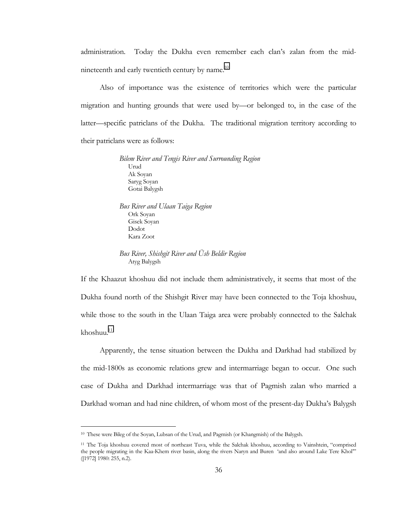administration. Today the Dukha even remember each clanís zalan from the midnineteenth and early twentieth century by name.<sup>10</sup>

Also of importance was the existence of territories which were the particular migration and hunting grounds that were used by-or belonged to, in the case of the latter—specific patriclans of the Dukha. The traditional migration territory according to their patriclans were as follows:

> *Bilem River and Tengis River and Surrounding Region*  Urud Ak Soyan Saryg Soyan Gotai Balygsh

*Bus River and Ulaan Taiga Region*  Ork Soyan Gisek Soyan Dodot Kara Zoot

*Bus River, Shishgit River and Ush Beldir Region* Atyg Balygsh

If the Khaazut khoshuu did not include them administratively, it seems that most of the Dukha found north of the Shishgit River may have been connected to the Toja khoshuu, while those to the south in the Ulaan Taiga area were probably connected to the Salchak  $khoshuu.<sup>11</sup>$ 

Apparently, the tense situation between the Dukha and Darkhad had stabilized by the mid-1800s as economic relations grew and intermarriage began to occur. One such case of Dukha and Darkhad intermarriage was that of Pagmish zalan who married a Darkhad woman and had nine children, of whom most of the present-day Dukha's Balygsh

<sup>10</sup> These were Bileg of the Soyan, Lubsan of the Urud, and Pagmish (or Khangmish) of the Balygsh.

<sup>&</sup>lt;sup>11</sup> The Toja khoshuu covered most of northeast Tuva, while the Salchak khoshuu, according to Vainshtein, "comprised the people migrating in the Kaa-Khem river basin, along the rivers Naryn and Buren 'and also around Lake Tere Khol" ([1972] 1980: 255, n.2).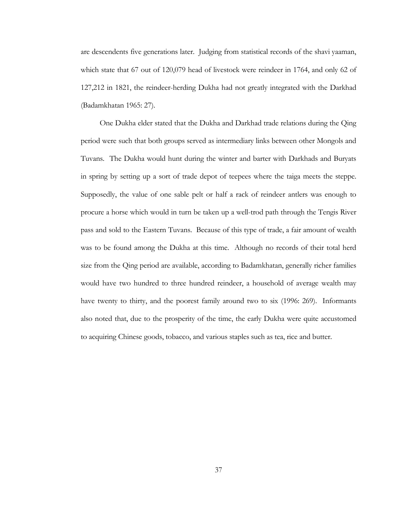are descendents five generations later. Judging from statistical records of the shavi yaaman, which state that 67 out of 120,079 head of livestock were reindeer in 1764, and only 62 of 127,212 in 1821, the reindeer-herding Dukha had not greatly integrated with the Darkhad (Badamkhatan 1965: 27).

One Dukha elder stated that the Dukha and Darkhad trade relations during the Qing period were such that both groups served as intermediary links between other Mongols and Tuvans. The Dukha would hunt during the winter and barter with Darkhads and Buryats in spring by setting up a sort of trade depot of teepees where the taiga meets the steppe. Supposedly, the value of one sable pelt or half a rack of reindeer antlers was enough to procure a horse which would in turn be taken up a well-trod path through the Tengis River pass and sold to the Eastern Tuvans. Because of this type of trade, a fair amount of wealth was to be found among the Dukha at this time. Although no records of their total herd size from the Qing period are available, according to Badamkhatan, generally richer families would have two hundred to three hundred reindeer, a household of average wealth may have twenty to thirty, and the poorest family around two to six (1996: 269). Informants also noted that, due to the prosperity of the time, the early Dukha were quite accustomed to acquiring Chinese goods, tobacco, and various staples such as tea, rice and butter.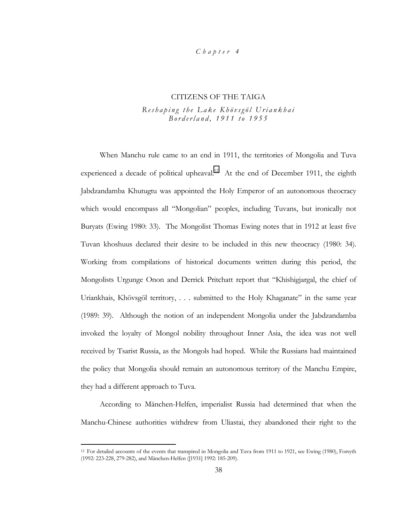## *Chapter 4*

#### CITIZENS OF THE TAIGA

## *Reshaping the Lake Khˆvsgˆl Uriankhai Borderland, 1911 to 1955*

When Manchu rule came to an end in 1911, the territories of Mongolia and Tuva experienced a decade of political upheaval.<sup>12</sup> At the end of December 1911, the eighth Jabdzandamba Khutugtu was appointed the Holy Emperor of an autonomous theocracy which would encompass all "Mongolian" peoples, including Tuvans, but ironically not Buryats (Ewing 1980: 33). The Mongolist Thomas Ewing notes that in 1912 at least five Tuvan khoshuus declared their desire to be included in this new theocracy (1980: 34). Working from compilations of historical documents written during this period, the Mongolists Urgunge Onon and Derrick Pritchatt report that "Khishigjargal, the chief of Uriankhais, Khövsgöl territory, . . . submitted to the Holy Khaganate" in the same year (1989: 39). Although the notion of an independent Mongolia under the Jabdzandamba invoked the loyalty of Mongol nobility throughout Inner Asia, the idea was not well received by Tsarist Russia, as the Mongols had hoped. While the Russians had maintained the policy that Mongolia should remain an autonomous territory of the Manchu Empire, they had a different approach to Tuva.

According to M‰nchen-Helfen, imperialist Russia had determined that when the Manchu-Chinese authorities withdrew from Uliastai, they abandoned their right to the

<sup>12</sup> For detailed accounts of the events that transpired in Mongolia and Tuva from 1911 to 1921, see Ewing (1980), Forsyth (1992: 223-228, 279-282), and M‰nchen-Helfen ([1931] 1992: 185-209).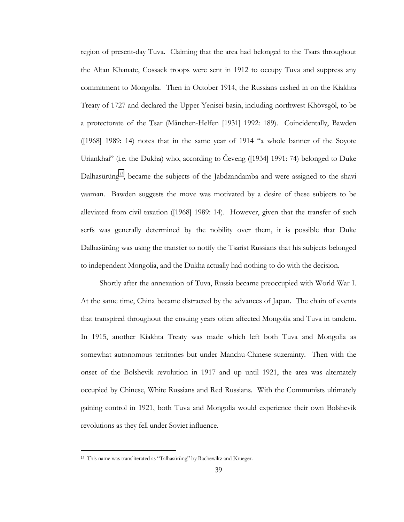region of present-day Tuva. Claiming that the area had belonged to the Tsars throughout the Altan Khanate, Cossack troops were sent in 1912 to occupy Tuva and suppress any commitment to Mongolia. Then in October 1914, the Russians cashed in on the Kiakhta Treaty of 1727 and declared the Upper Yenisei basin, including northwest Khövsgöl, to be a protectorate of the Tsar (M‰nchen-Helfen [1931] 1992: 189). Coincidentally, Bawden  $($ [1968] 1989: 14) notes that in the same year of 1914 "a whole banner of the Soyote Uriankhai<sup>3</sup> (i.e. the Dukha) who, according to Čeveng ([1934] 1991: 74) belonged to Duke Dalhas $\ddot{\rm}$ uring<sup>13</sup>, became the subjects of the Jabdzandamba and were assigned to the shavi yaaman. Bawden suggests the move was motivated by a desire of these subjects to be alleviated from civil taxation ([1968] 1989: 14). However, given that the transfer of such serfs was generally determined by the nobility over them, it is possible that Duke Dalhasürüng was using the transfer to notify the Tsarist Russians that his subjects belonged to independent Mongolia, and the Dukha actually had nothing to do with the decision.

Shortly after the annexation of Tuva, Russia became preoccupied with World War I. At the same time, China became distracted by the advances of Japan. The chain of events that transpired throughout the ensuing years often affected Mongolia and Tuva in tandem. In 1915, another Kiakhta Treaty was made which left both Tuva and Mongolia as somewhat autonomous territories but under Manchu-Chinese suzerainty. Then with the onset of the Bolshevik revolution in 1917 and up until 1921, the area was alternately occupied by Chinese, White Russians and Red Russians. With the Communists ultimately gaining control in 1921, both Tuva and Mongolia would experience their own Bolshevik revolutions as they fell under Soviet influence.

<sup>13</sup> This name was transliterated as "Talhasürüng" by Rachewiltz and Krueger.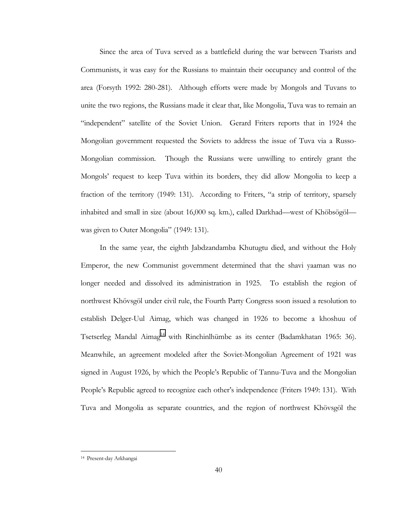Since the area of Tuva served as a battlefield during the war between Tsarists and Communists, it was easy for the Russians to maintain their occupancy and control of the area (Forsyth 1992: 280-281). Although efforts were made by Mongols and Tuvans to unite the two regions, the Russians made it clear that, like Mongolia, Tuva was to remain an ìindependentî satellite of the Soviet Union. Gerard Friters reports that in 1924 the Mongolian government requested the Soviets to address the issue of Tuva via a Russo-Mongolian commission. Though the Russians were unwilling to entirely grant the Mongolsí request to keep Tuva within its borders, they did allow Mongolia to keep a fraction of the territory  $(1949: 131)$ . According to Friters, "a strip of territory, sparsely inhabited and small in size (about 16,000 sq. km.), called Darkhad—west of Khöbsögöl was given to Outer Mongolia" (1949: 131).

In the same year, the eighth Jabdzandamba Khutugtu died, and without the Holy Emperor, the new Communist government determined that the shavi yaaman was no longer needed and dissolved its administration in 1925. To establish the region of northwest Khövsgöl under civil rule, the Fourth Party Congress soon issued a resolution to establish Delger-Uul Aimag, which was changed in 1926 to become a khoshuu of Tsetserleg Mandal Aimag<sup>14</sup> with Rinchinlhümbe as its center (Badamkhatan 1965: 36). Meanwhile, an agreement modeled after the Soviet-Mongolian Agreement of 1921 was signed in August 1926, by which the People's Republic of Tannu-Tuva and the Mongolian People's Republic agreed to recognize each other's independence (Friters 1949: 131). With Tuva and Mongolia as separate countries, and the region of northwest Khövsgöl the

<sup>14</sup> Present-day Arkhangai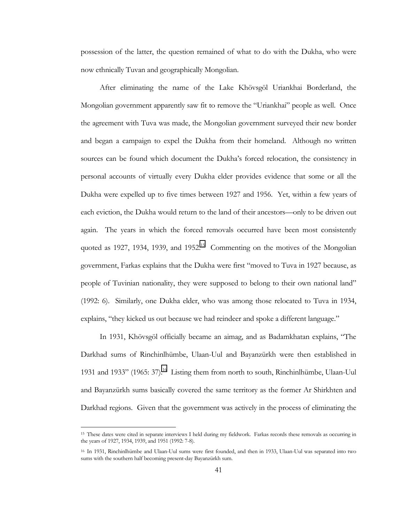possession of the latter, the question remained of what to do with the Dukha, who were now ethnically Tuvan and geographically Mongolian.

After eliminating the name of the Lake Khövsgöl Uriankhai Borderland, the Mongolian government apparently saw fit to remove the "Uriankhai" people as well. Once the agreement with Tuva was made, the Mongolian government surveyed their new border and began a campaign to expel the Dukha from their homeland. Although no written sources can be found which document the Dukha's forced relocation, the consistency in personal accounts of virtually every Dukha elder provides evidence that some or all the Dukha were expelled up to five times between 1927 and 1956. Yet, within a few years of each eviction, the Dukha would return to the land of their ancestors—only to be driven out again. The years in which the forced removals occurred have been most consistently quoted as 1927, 1934, 1939, and 1952.<sup>15</sup> Commenting on the motives of the Mongolian government, Farkas explains that the Dukha were first "moved to Tuva in 1927 because, as people of Tuvinian nationality, they were supposed to belong to their own national land" (1992: 6). Similarly, one Dukha elder, who was among those relocated to Tuva in 1934, explains, "they kicked us out because we had reindeer and spoke a different language."

In 1931, Khövsgöl officially became an aimag, and as Badamkhatan explains, "The Darkhad sums of Rinchinlhümbe, Ulaan-Uul and Bayanzürkh were then established in 1931 and 1933" (1965: 37).<sup>16</sup> Listing them from north to south, Rinchinlhümbe, Ulaan-Uul and Bayanzürkh sums basically covered the same territory as the former Ar Shirkhten and Darkhad regions. Given that the government was actively in the process of eliminating the

<sup>&</sup>lt;sup>15</sup> These dates were cited in separate interviews I held during my fieldwork. Farkas records these removals as occurring in the years of 1927, 1934, 1939, and 1951 (1992: 7-8).

<sup>&</sup>lt;sup>16</sup> In 1931, Rinchinlhümbe and Ulaan-Uul sums were first founded, and then in 1933, Ulaan-Uul was separated into two sums with the southern half becoming present-day Bayanzürkh sum.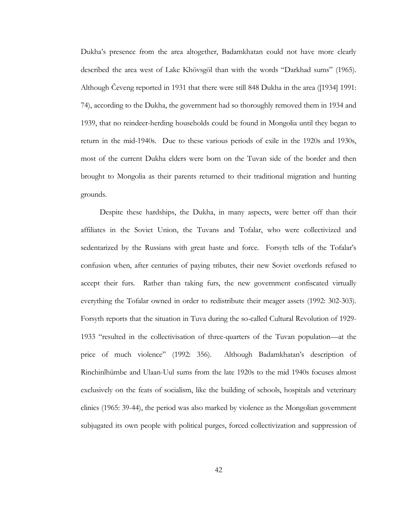Dukhaís presence from the area altogether, Badamkhatan could not have more clearly described the area west of Lake Khövsgöl than with the words "Darkhad sums" (1965). Although Čeveng reported in 1931 that there were still 848 Dukha in the area ([1934] 1991: 74), according to the Dukha, the government had so thoroughly removed them in 1934 and 1939, that no reindeer-herding households could be found in Mongolia until they began to return in the mid-1940s. Due to these various periods of exile in the 1920s and 1930s, most of the current Dukha elders were born on the Tuvan side of the border and then brought to Mongolia as their parents returned to their traditional migration and hunting grounds.

Despite these hardships, the Dukha, in many aspects, were better off than their affiliates in the Soviet Union, the Tuvans and Tofalar, who were collectivized and sedentarized by the Russians with great haste and force. For syth tells of the Tofalar's confusion when, after centuries of paying tributes, their new Soviet overlords refused to accept their furs. Rather than taking furs, the new government confiscated virtually everything the Tofalar owned in order to redistribute their meager assets (1992: 302-303). Forsyth reports that the situation in Tuva during the so-called Cultural Revolution of 1929- 1933 "resulted in the collectivisation of three-quarters of the Tuvan population—at the price of much violence" (1992: 356). Although Badamkhatan's description of Rinchinlhümbe and Ulaan-Uul sums from the late 1920s to the mid 1940s focuses almost exclusively on the feats of socialism, like the building of schools, hospitals and veterinary clinics (1965: 39-44), the period was also marked by violence as the Mongolian government subjugated its own people with political purges, forced collectivization and suppression of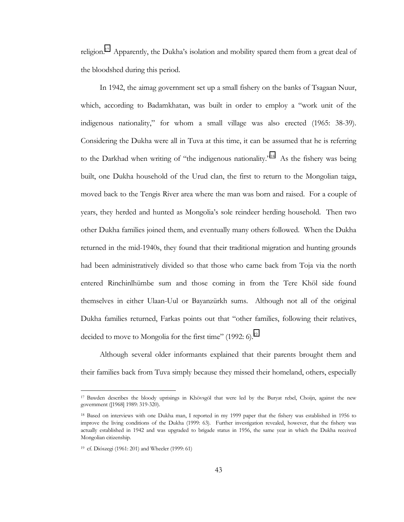religion.<sup>17</sup> Apparently, the Dukha's isolation and mobility spared them from a great deal of the bloodshed during this period.

In 1942, the aimag government set up a small fishery on the banks of Tsagaan Nuur, which, according to Badamkhatan, was built in order to employ a "work unit of the indigenous nationality," for whom a small village was also erected (1965: 38-39). Considering the Dukha were all in Tuva at this time, it can be assumed that he is referring to the Darkhad when writing of "the indigenous nationality."<sup>18</sup> As the fishery was being built, one Dukha household of the Urud clan, the first to return to the Mongolian taiga, moved back to the Tengis River area where the man was born and raised. For a couple of years, they herded and hunted as Mongoliaís sole reindeer herding household. Then two other Dukha families joined them, and eventually many others followed. When the Dukha returned in the mid-1940s, they found that their traditional migration and hunting grounds had been administratively divided so that those who came back from Toja via the north entered Rinchinlhümbe sum and those coming in from the Tere Khöl side found themselves in either Ulaan-Uul or Bayanzürkh sums. Although not all of the original Dukha families returned, Farkas points out that "other families, following their relatives, decided to move to Mongolia for the first time"  $(1992: 6)$ .<sup>19</sup>

Although several older informants explained that their parents brought them and their families back from Tuva simply because they missed their homeland, others, especially

<sup>&</sup>lt;sup>17</sup> Bawden describes the bloody uprisings in Khövsgöl that were led by the Buryat rebel, Choijn, against the new government ([1968] 1989: 319-320).

<sup>18</sup> Based on interviews with one Dukha man, I reported in my 1999 paper that the fishery was established in 1956 to improve the living conditions of the Dukha (1999: 63). Further investigation revealed, however, that the fishery was actually established in 1942 and was upgraded to brigade status in 1956, the same year in which the Dukha received Mongolian citizenship.

<sup>&</sup>lt;sup>19</sup> cf. Diószegi (1961: 201) and Wheeler (1999: 61)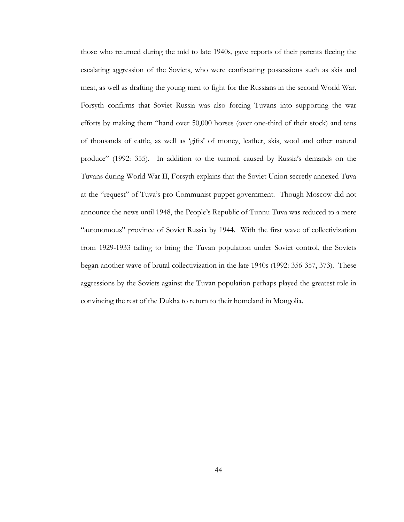those who returned during the mid to late 1940s, gave reports of their parents fleeing the escalating aggression of the Soviets, who were confiscating possessions such as skis and meat, as well as drafting the young men to fight for the Russians in the second World War. Forsyth confirms that Soviet Russia was also forcing Tuvans into supporting the war efforts by making them "hand over 50,000 horses (over one-third of their stock) and tens of thousands of cattle, as well as 'gifts' of money, leather, skis, wool and other natural produce" (1992: 355). In addition to the turmoil caused by Russia's demands on the Tuvans during World War II, Forsyth explains that the Soviet Union secretly annexed Tuva at the "request" of Tuva's pro-Communist puppet government. Though Moscow did not announce the news until 1948, the People's Republic of Tunnu Tuva was reduced to a mere ìautonomousî province of Soviet Russia by 1944. With the first wave of collectivization from 1929-1933 failing to bring the Tuvan population under Soviet control, the Soviets began another wave of brutal collectivization in the late 1940s (1992: 356-357, 373). These aggressions by the Soviets against the Tuvan population perhaps played the greatest role in convincing the rest of the Dukha to return to their homeland in Mongolia.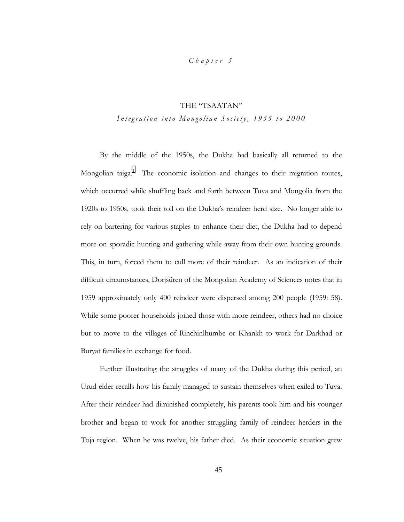## *Chapter 5*

# THE "TSAATAN"

## *Integration into Mongolian Society, 1955 to 2000*

By the middle of the 1950s, the Dukha had basically all returned to the Mongolian taiga.<sup>1</sup> The economic isolation and changes to their migration routes, which occurred while shuffling back and forth between Tuva and Mongolia from the 1920s to 1950s, took their toll on the Dukhaís reindeer herd size. No longer able to rely on bartering for various staples to enhance their diet, the Dukha had to depend more on sporadic hunting and gathering while away from their own hunting grounds. This, in turn, forced them to cull more of their reindeer. As an indication of their difficult circumstances, Dorjsüren of the Mongolian Academy of Sciences notes that in 1959 approximately only 400 reindeer were dispersed among 200 people (1959: 58). While some poorer households joined those with more reindeer, others had no choice but to move to the villages of Rinchinlhümbe or Khankh to work for Darkhad or Buryat families in exchange for food.

Further illustrating the struggles of many of the Dukha during this period, an Urud elder recalls how his family managed to sustain themselves when exiled to Tuva. After their reindeer had diminished completely, his parents took him and his younger brother and began to work for another struggling family of reindeer herders in the Toja region. When he was twelve, his father died. As their economic situation grew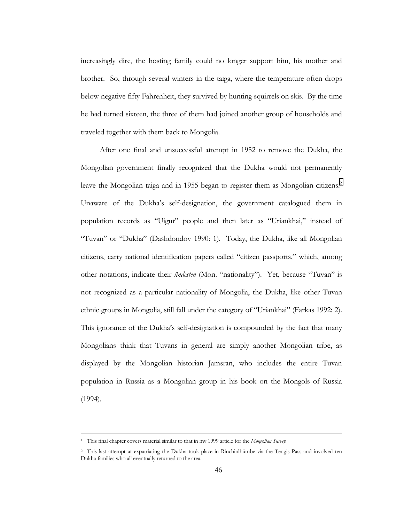increasingly dire, the hosting family could no longer support him, his mother and brother. So, through several winters in the taiga, where the temperature often drops below negative fifty Fahrenheit, they survived by hunting squirrels on skis. By the time he had turned sixteen, the three of them had joined another group of households and traveled together with them back to Mongolia.

After one final and unsuccessful attempt in 1952 to remove the Dukha, the Mongolian government finally recognized that the Dukha would not permanently leave the Mongolian taiga and in 1955 began to register them as Mongolian citizens.<sup>2</sup> Unaware of the Dukhaís self-designation, the government catalogued them in population records as "Uigur" people and then later as "Uriankhai," instead of "Tuvan" or "Dukha" (Dashdondov 1990: 1). Today, the Dukha, like all Mongolian citizens, carry national identification papers called "citizen passports," which, among other notations, indicate their *ündesten* (Mon. "nationality"). Yet, because "Tuvan" is not recognized as a particular nationality of Mongolia, the Dukha, like other Tuvan ethnic groups in Mongolia, still fall under the category of "Uriankhai" (Farkas 1992: 2). This ignorance of the Dukhaís self-designation is compounded by the fact that many Mongolians think that Tuvans in general are simply another Mongolian tribe, as displayed by the Mongolian historian Jamsran, who includes the entire Tuvan population in Russia as a Mongolian group in his book on the Mongols of Russia (1994).

 <sup>1</sup> This final chapter covers material similar to that in my 1999 article for the *Mongolian Survey.*

<sup>&</sup>lt;sup>2</sup> This last attempt at expatriating the Dukha took place in Rinchinlhümbe via the Tengis Pass and involved ten Dukha families who all eventually returned to the area.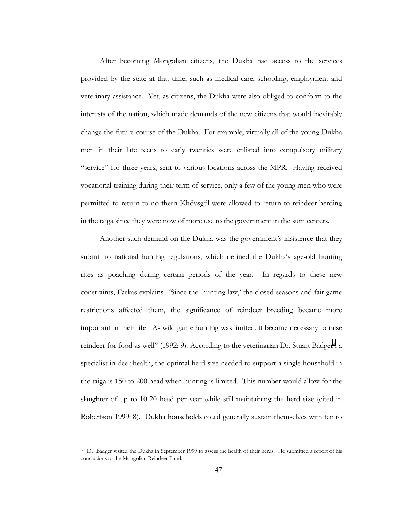After becoming Mongolian citizens, the Dukha had access to the services provided by the state at that time, such as medical care, schooling, employment and veterinary assistance. Yet, as citizens, the Dukha were also obliged to conform to the interests of the nation, which made demands of the new citizens that would inevitably change the future course of the Dukha. For example, virtually all of the young Dukha men in their late teens to early twenties were enlisted into compulsory military ìserviceî for three years, sent to various locations across the MPR. Having received vocational training during their term of service, only a few of the young men who were permitted to return to northern Khövsgöl were allowed to return to reindeer-herding in the taiga since they were now of more use to the government in the sum centers.

Another such demand on the Dukha was the government's insistence that they submit to national hunting regulations, which defined the Dukha's age-old hunting rites as poaching during certain periods of the year. In regards to these new constraints, Farkas explains: "Since the 'hunting law,' the closed seasons and fair game restrictions affected them, the significance of reindeer breeding became more important in their life. As wild game hunting was limited, it became necessary to raise reindeer for food as well" (1992: 9). According to the veterinarian Dr. Stuart Badger<sup>3</sup>, a specialist in deer health, the optimal herd size needed to support a single household in the taiga is 150 to 200 head when hunting is limited. This number would allow for the slaughter of up to 10-20 head per year while still maintaining the herd size (cited in Robertson 1999: 8). Dukha households could generally sustain themselves with ten to

<sup>&</sup>lt;sup>3</sup> Dr. Badger visited the Dukha in September 1999 to assess the health of their herds. He submitted a report of his conclusions to the Mongolian Reindeer Fund.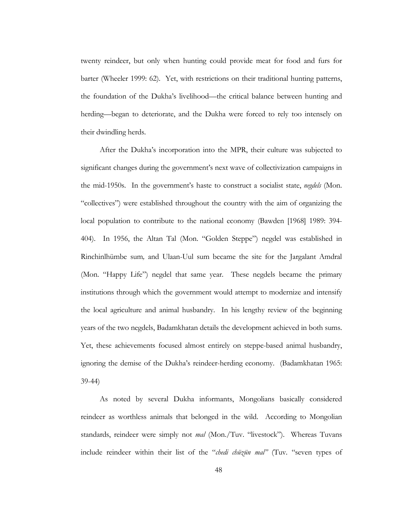twenty reindeer, but only when hunting could provide meat for food and furs for barter (Wheeler 1999: 62). Yet, with restrictions on their traditional hunting patterns, the foundation of the Dukha's livelihood—the critical balance between hunting and herding—began to deteriorate, and the Dukha were forced to rely too intensely on their dwindling herds.

After the Dukha's incorporation into the MPR, their culture was subjected to significant changes during the government's next wave of collectivization campaigns in the mid-1950s. In the governmentís haste to construct a socialist state, *negdels* (Mon. ìcollectivesî) were established throughout the country with the aim of organizing the local population to contribute to the national economy (Bawden [1968] 1989: 394- 404). In 1956, the Altan Tal (Mon. "Golden Steppe") negdel was established in Rinchinlhümbe sum, and Ulaan-Uul sum became the site for the Jargalant Amdral (Mon. "Happy Life") negdel that same year. These negdels became the primary institutions through which the government would attempt to modernize and intensify the local agriculture and animal husbandry. In his lengthy review of the beginning years of the two negdels, Badamkhatan details the development achieved in both sums. Yet, these achievements focused almost entirely on steppe-based animal husbandry, ignoring the demise of the Dukhaís reindeer-herding economy. (Badamkhatan 1965: 39-44)

As noted by several Dukha informants, Mongolians basically considered reindeer as worthless animals that belonged in the wild. According to Mongolian standards, reindeer were simply not *mal* (Mon./Tuv. "livestock"). Whereas Tuvans include reindeer within their list of the "*chedi chüzün mal*" (Tuv. "seven types of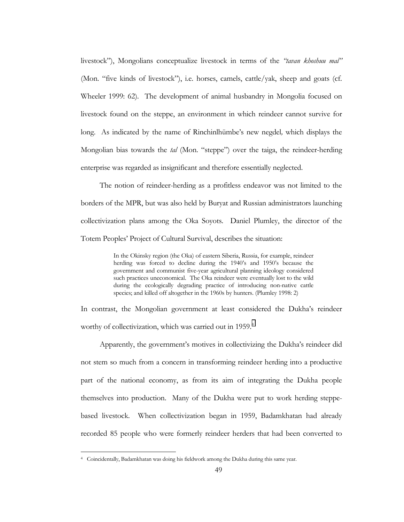livestock"), Mongolians conceptualize livestock in terms of the *'tavan khoshuu mal*'' (Mon. "five kinds of livestock"), i.e. horses, camels, cattle/yak, sheep and goats (cf. Wheeler 1999: 62). The development of animal husbandry in Mongolia focused on livestock found on the steppe, an environment in which reindeer cannot survive for long. As indicated by the name of Rinchinlhümbe's new negdel, which displays the Mongolian bias towards the *tal* (Mon. "steppe") over the taiga, the reindeer-herding enterprise was regarded as insignificant and therefore essentially neglected.

The notion of reindeer-herding as a profitless endeavor was not limited to the borders of the MPR, but was also held by Buryat and Russian administrators launching collectivization plans among the Oka Soyots. Daniel Plumley, the director of the Totem Peoples' Project of Cultural Survival, describes the situation:

> In the Okinsky region (the Oka) of eastern Siberia, Russia, for example, reindeer herding was forced to decline during the 1940's and 1950's because the government and communist five-year agricultural planning ideology considered such practices uneconomical. The Oka reindeer were eventually lost to the wild during the ecologically degrading practice of introducing non-native cattle species; and killed off altogether in the 1960s by hunters. (Plumley 1998: 2)

In contrast, the Mongolian government at least considered the Dukha's reindeer worthy of collectivization, which was carried out in 1959.<sup>4</sup>

Apparently, the government's motives in collectivizing the Dukha's reindeer did not stem so much from a concern in transforming reindeer herding into a productive part of the national economy, as from its aim of integrating the Dukha people themselves into production. Many of the Dukha were put to work herding steppebased livestock. When collectivization began in 1959, Badamkhatan had already recorded 85 people who were formerly reindeer herders that had been converted to

<sup>4</sup> Coincidentally, Badamkhatan was doing his fieldwork among the Dukha during this same year.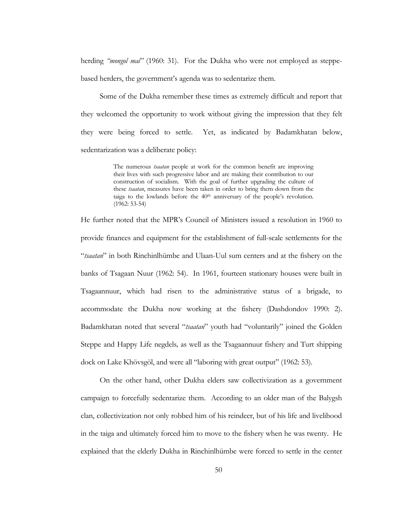herding *<i>'mongol mal*'' (1960: 31). For the Dukha who were not employed as steppebased herders, the government's agenda was to sedentarize them.

Some of the Dukha remember these times as extremely difficult and report that they welcomed the opportunity to work without giving the impression that they felt they were being forced to settle. Yet, as indicated by Badamkhatan below, sedentarization was a deliberate policy:

> The numerous *tsaatan* people at work for the common benefit are improving their lives with such progressive labor and are making their contribution to our construction of socialism. With the goal of further upgrading the culture of these *tsaatan*, measures have been taken in order to bring them down from the taiga to the lowlands before the  $40<sup>th</sup>$  anniversary of the people's revolution. (1962: 53-54)

He further noted that the MPRís Council of Ministers issued a resolution in 1960 to provide finances and equipment for the establishment of full-scale settlements for the "*tsaatan*" in both Rinchinlhümbe and Ulaan-Uul sum centers and at the fishery on the banks of Tsagaan Nuur (1962: 54). In 1961, fourteen stationary houses were built in Tsagaannuur, which had risen to the administrative status of a brigade, to accommodate the Dukha now working at the fishery (Dashdondov 1990: 2). Badamkhatan noted that several "*tsaatan*" youth had "voluntarily" joined the Golden Steppe and Happy Life negdels*,* as well as the Tsagaannuur fishery and Turt shipping dock on Lake Khövsgöl, and were all "laboring with great output" (1962: 53).

On the other hand, other Dukha elders saw collectivization as a government campaign to forcefully sedentarize them. According to an older man of the Balygsh clan, collectivization not only robbed him of his reindeer, but of his life and livelihood in the taiga and ultimately forced him to move to the fishery when he was twenty. He explained that the elderly Dukha in Rinchinlhümbe were forced to settle in the center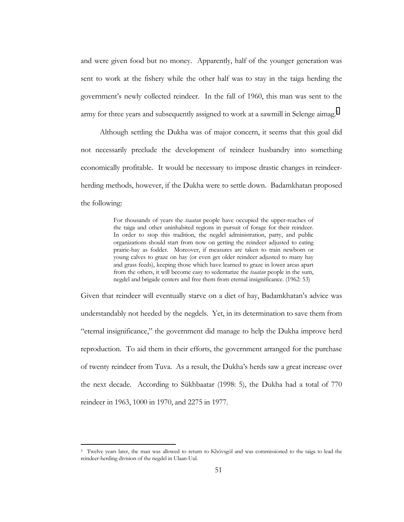and were given food but no money. Apparently, half of the younger generation was sent to work at the fishery while the other half was to stay in the taiga herding the governmentís newly collected reindeer. In the fall of 1960, this man was sent to the army for three years and subsequently assigned to work at a sawmill in Selenge aimag.<sup>5</sup>

Although settling the Dukha was of major concern, it seems that this goal did not necessarily preclude the development of reindeer husbandry into something economically profitable. It would be necessary to impose drastic changes in reindeerherding methods, however, if the Dukha were to settle down. Badamkhatan proposed the following:

> For thousands of years the *tsaatan* people have occupied the upper-reaches of the taiga and other uninhabited regions in pursuit of forage for their reindeer. In order to stop this tradition, the negdel administration, party, and public organizations should start from now on getting the reindeer adjusted to eating prairie-hay as fodder. Moreover, if measures are taken to train newborn or young calves to graze on hay (or even get older reindeer adjusted to many hay and grass feeds), keeping those which have learned to graze in lower areas apart from the others, it will become easy to sedentarize the *tsaatan* people in the sum, negdel and brigade centers and free them from eternal insignificance. (1962: 53)

Given that reindeer will eventually starve on a diet of hay, Badamkhatan's advice was understandably not heeded by the negdels. Yet, in its determination to save them from ìeternal insignificance,î the government did manage to help the Dukha improve herd reproduction. To aid them in their efforts, the government arranged for the purchase of twenty reindeer from Tuva. As a result, the Dukhaís herds saw a great increase over the next decade. According to Sükhbaatar  $(1998: 5)$ , the Dukha had a total of 770 reindeer in 1963, 1000 in 1970, and 2275 in 1977.

<sup>&</sup>lt;sup>5</sup> Twelve years later, the man was allowed to return to Khövsgöl and was commissioned to the taiga to lead the reindeer-herding division of the negdel in Ulaan-Uul.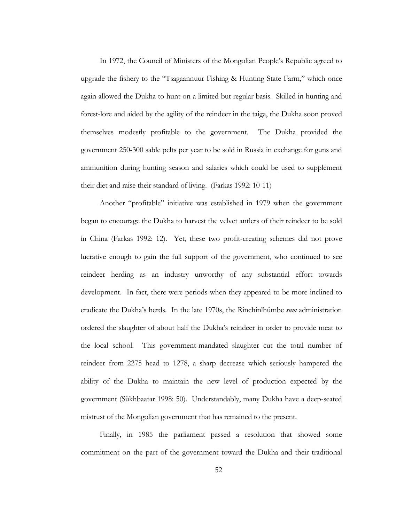In 1972, the Council of Ministers of the Mongolian People's Republic agreed to upgrade the fishery to the  $T$ sagaannuur Fishing & Hunting State Farm," which once again allowed the Dukha to hunt on a limited but regular basis. Skilled in hunting and forest-lore and aided by the agility of the reindeer in the taiga, the Dukha soon proved themselves modestly profitable to the government. The Dukha provided the government 250-300 sable pelts per year to be sold in Russia in exchange for guns and ammunition during hunting season and salaries which could be used to supplement their diet and raise their standard of living. (Farkas 1992: 10-11)

Another "profitable" initiative was established in 1979 when the government began to encourage the Dukha to harvest the velvet antlers of their reindeer to be sold in China (Farkas 1992: 12). Yet, these two profit-creating schemes did not prove lucrative enough to gain the full support of the government, who continued to see reindeer herding as an industry unworthy of any substantial effort towards development. In fact, there were periods when they appeared to be more inclined to eradicate the Dukha's herds. In the late 1970s, the Rinchinlhümbe *sum* administration ordered the slaughter of about half the Dukhaís reindeer in order to provide meat to the local school. This government-mandated slaughter cut the total number of reindeer from 2275 head to 1278, a sharp decrease which seriously hampered the ability of the Dukha to maintain the new level of production expected by the government (Sükhbaatar 1998: 50). Understandably, many Dukha have a deep-seated mistrust of the Mongolian government that has remained to the present.

Finally, in 1985 the parliament passed a resolution that showed some commitment on the part of the government toward the Dukha and their traditional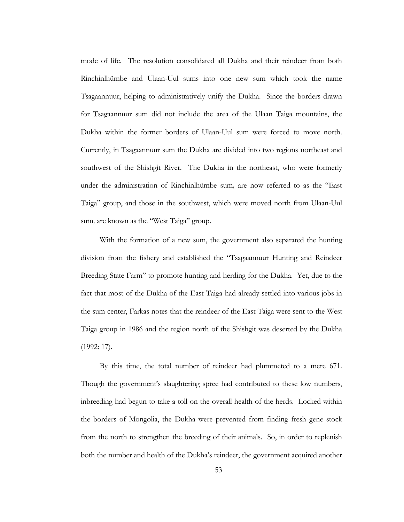mode of life. The resolution consolidated all Dukha and their reindeer from both Rinchinlhümbe and Ulaan-Uul sums into one new sum which took the name Tsagaannuur, helping to administratively unify the Dukha. Since the borders drawn for Tsagaannuur sum did not include the area of the Ulaan Taiga mountains, the Dukha within the former borders of Ulaan-Uul sum were forced to move north. Currently, in Tsagaannuur sum the Dukha are divided into two regions northeast and southwest of the Shishgit River. The Dukha in the northeast, who were formerly under the administration of Rinchinlhümbe sum, are now referred to as the "East" Taigaî group, and those in the southwest, which were moved north from Ulaan-Uul sum, are known as the "West Taiga" group.

With the formation of a new sum, the government also separated the hunting division from the fishery and established the "Tsagaannuur Hunting and Reindeer Breeding State Farm" to promote hunting and herding for the Dukha. Yet, due to the fact that most of the Dukha of the East Taiga had already settled into various jobs in the sum center, Farkas notes that the reindeer of the East Taiga were sent to the West Taiga group in 1986 and the region north of the Shishgit was deserted by the Dukha (1992: 17).

By this time, the total number of reindeer had plummeted to a mere 671. Though the government's slaughtering spree had contributed to these low numbers, inbreeding had begun to take a toll on the overall health of the herds. Locked within the borders of Mongolia, the Dukha were prevented from finding fresh gene stock from the north to strengthen the breeding of their animals. So, in order to replenish both the number and health of the Dukhaís reindeer, the government acquired another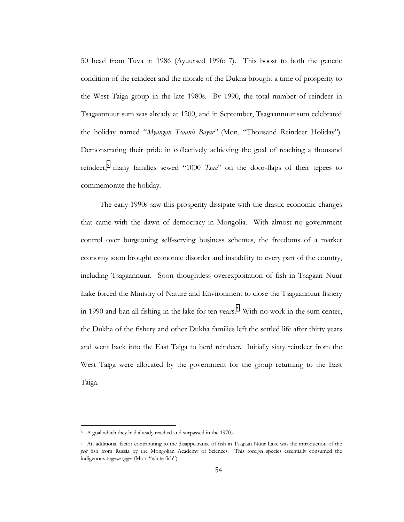50 head from Tuva in 1986 (Ayuursed 1996: 7). This boost to both the genetic condition of the reindeer and the morale of the Dukha brought a time of prosperity to the West Taiga group in the late 1980s. By 1990, the total number of reindeer in Tsagaannuur sum was already at 1200, and in September, Tsagaannuur sum celebrated the holiday named "*Myangan Tsaanii Bayar*" (Mon. "Thousand Reindeer Holiday"). Demonstrating their pride in collectively achieving the goal of reaching a thousand reindeer,<sup>6</sup> many families sewed "1000 *Tsaa*" on the door-flaps of their tepees to commemorate the holiday.

The early 1990s saw this prosperity dissipate with the drastic economic changes that came with the dawn of democracy in Mongolia. With almost no government control over burgeoning self-serving business schemes, the freedoms of a market economy soon brought economic disorder and instability to every part of the country, including Tsagaannuur. Soon thoughtless overexploitation of fish in Tsagaan Nuur Lake forced the Ministry of Nature and Environment to close the Tsagaannuur fishery in 1990 and ban all fishing in the lake for ten years.<sup>7</sup> With no work in the sum center, the Dukha of the fishery and other Dukha families left the settled life after thirty years and went back into the East Taiga to herd reindeer. Initially sixty reindeer from the West Taiga were allocated by the government for the group returning to the East Taiga.

<sup>6</sup> A goal which they had already reached and surpassed in the 1970s.

<sup>7</sup> An additional factor contributing to the disappearance of fish in Tsagaan Nuur Lake was the introduction of the *pelt* fish from Russia by the Mongolian Academy of Sciences. This foreign species essentially consumed the indigenous tsagaan zagas (Mon. "white fish").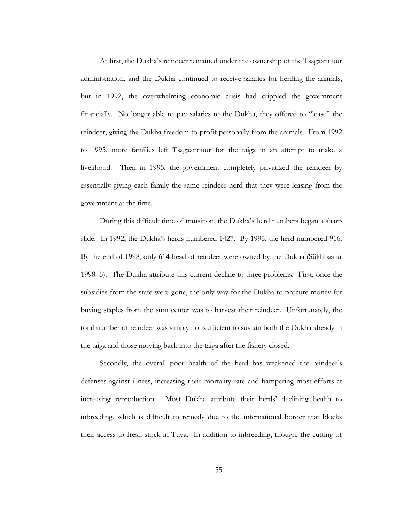At first, the Dukha's reindeer remained under the ownership of the Tsagaannuur administration, and the Dukha continued to receive salaries for herding the animals, but in 1992, the overwhelming economic crisis had crippled the government financially. No longer able to pay salaries to the Dukha, they offered to "lease" the reindeer, giving the Dukha freedom to profit personally from the animals. From 1992 to 1995, more families left Tsagaannuur for the taiga in an attempt to make a livelihood. Then in 1995, the government completely privatized the reindeer by essentially giving each family the same reindeer herd that they were leasing from the government at the time.

During this difficult time of transition, the Dukha's herd numbers began a sharp slide. In 1992, the Dukhaís herds numbered 1427. By 1995, the herd numbered 916. By the end of 1998, only 614 head of reindeer were owned by the Dukha (Sükhbaatar 1998: 5). The Dukha attribute this current decline to three problems. First, once the subsidies from the state were gone, the only way for the Dukha to procure money for buying staples from the sum center was to harvest their reindeer. Unfortunately, the total number of reindeer was simply not sufficient to sustain both the Dukha already in the taiga and those moving back into the taiga after the fishery closed.

Secondly, the overall poor health of the herd has weakened the reindeer's defenses against illness, increasing their mortality rate and hampering most efforts at increasing reproduction. Most Dukha attribute their herds' declining health to inbreeding, which is difficult to remedy due to the international border that blocks their access to fresh stock in Tuva. In addition to inbreeding, though, the cutting of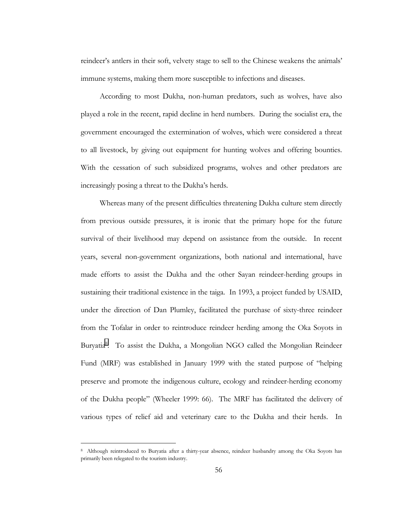reindeer's antlers in their soft, velvety stage to sell to the Chinese weakens the animals' immune systems, making them more susceptible to infections and diseases.

According to most Dukha, non-human predators, such as wolves, have also played a role in the recent, rapid decline in herd numbers. During the socialist era, the government encouraged the extermination of wolves, which were considered a threat to all livestock, by giving out equipment for hunting wolves and offering bounties. With the cessation of such subsidized programs, wolves and other predators are increasingly posing a threat to the Dukha's herds.

Whereas many of the present difficulties threatening Dukha culture stem directly from previous outside pressures, it is ironic that the primary hope for the future survival of their livelihood may depend on assistance from the outside. In recent years, several non-government organizations, both national and international, have made efforts to assist the Dukha and the other Sayan reindeer-herding groups in sustaining their traditional existence in the taiga. In 1993, a project funded by USAID, under the direction of Dan Plumley, facilitated the purchase of sixty-three reindeer from the Tofalar in order to reintroduce reindeer herding among the Oka Soyots in Buryatia<sup>8</sup>. To assist the Dukha, a Mongolian NGO called the Mongolian Reindeer Fund (MRF) was established in January 1999 with the stated purpose of "helping preserve and promote the indigenous culture, ecology and reindeer-herding economy of the Dukha people" (Wheeler 1999: 66). The MRF has facilitated the delivery of various types of relief aid and veterinary care to the Dukha and their herds. In

<sup>8</sup> Although reintroduced to Buryatia after a thirty-year absence, reindeer husbandry among the Oka Soyots has primarily been relegated to the tourism industry.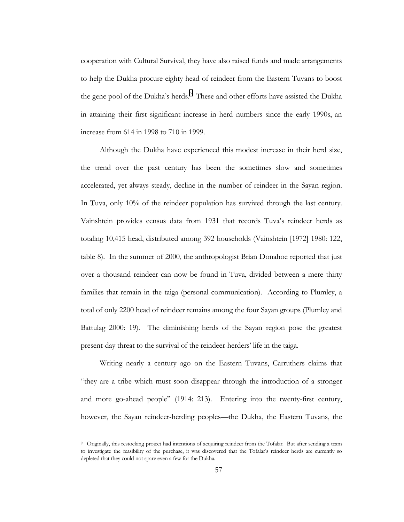cooperation with Cultural Survival, they have also raised funds and made arrangements to help the Dukha procure eighty head of reindeer from the Eastern Tuvans to boost the gene pool of the Dukha's herds.<sup>9</sup> These and other efforts have assisted the Dukha in attaining their first significant increase in herd numbers since the early 1990s, an increase from 614 in 1998 to 710 in 1999.

Although the Dukha have experienced this modest increase in their herd size, the trend over the past century has been the sometimes slow and sometimes accelerated, yet always steady, decline in the number of reindeer in the Sayan region. In Tuva, only 10% of the reindeer population has survived through the last century. Vainshtein provides census data from 1931 that records Tuvaís reindeer herds as totaling 10,415 head, distributed among 392 households (Vainshtein [1972] 1980: 122, table 8). In the summer of 2000, the anthropologist Brian Donahoe reported that just over a thousand reindeer can now be found in Tuva, divided between a mere thirty families that remain in the taiga (personal communication). According to Plumley, a total of only 2200 head of reindeer remains among the four Sayan groups (Plumley and Battulag 2000: 19). The diminishing herds of the Sayan region pose the greatest present-day threat to the survival of the reindeer-herders' life in the taiga.

Writing nearly a century ago on the Eastern Tuvans, Carruthers claims that ìthey are a tribe which must soon disappear through the introduction of a stronger and more go-ahead people" (1914: 213). Entering into the twenty-first century, however, the Sayan reindeer-herding peoples—the Dukha, the Eastern Tuvans, the

<sup>9</sup> Originally, this restocking project had intentions of acquiring reindeer from the Tofalar. But after sending a team to investigate the feasibility of the purchase, it was discovered that the Tofalar's reindeer herds are currently so depleted that they could not spare even a few for the Dukha.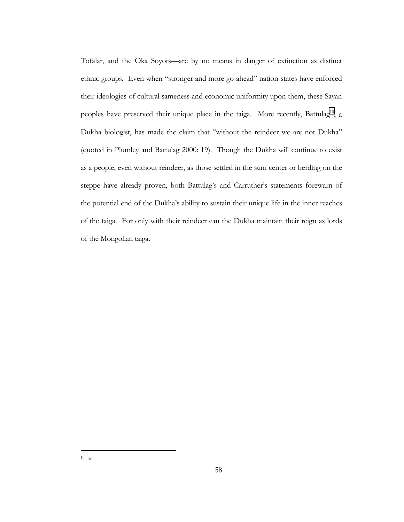Tofalar, and the Oka Soyots—are by no means in danger of extinction as distinct ethnic groups. Even when "stronger and more go-ahead" nation-states have enforced their ideologies of cultural sameness and economic uniformity upon them, these Sayan peoples have preserved their unique place in the taiga. More recently, Battulag<sup>10</sup>, a Dukha biologist, has made the claim that "without the reindeer we are not Dukha" (quoted in Plumley and Battulag 2000: 19). Though the Dukha will continue to exist as a people, even without reindeer, as those settled in the sum center or herding on the steppe have already proven, both Battulag's and Carruther's statements forewarn of the potential end of the Dukhaís ability to sustain their unique life in the inner reaches of the taiga. For only with their reindeer can the Dukha maintain their reign as lords of the Mongolian taiga.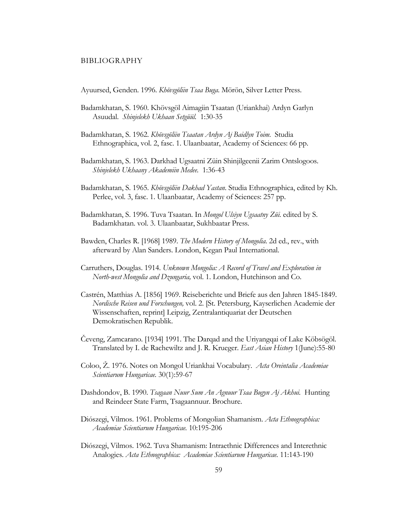#### BIBLIOGRAPHY

Ayuursed, Genden. 1996. *Khövsgölün Tsaa Buga*. Mörön, Silver Letter Press.

- Badamkhatan, S. 1960. Khövsgöl Aimagiin Tsaatan (Uriankhai) Ardyn Garlyn Asuudal. Shinjelekh Ukhaan Setgüül. 1:30-35
- Badamkhatan, S. 1962. *Khˆvsgˆliin Tsaatan Ardyn Aj Baidlyn Toim*. Studia Ethnographica, vol. 2, fasc. 1. Ulaanbaatar, Academy of Sciences: 66 pp.
- Badamkhatan, S. 1963. Darkhad Ugsaatni Züin Shinjilgeenii Zarim Ontslogoos. *Shinjelekh Ukhaany Akademiin Medee.* 1:36-43
- Badamkhatan, S. 1965. *Khövsgölün Dakhad Yastan*. Studia Ethnographica, edited by Kh. Perlee, vol. 3, fasc. 1. Ulaanbaatar, Academy of Sciences: 257 pp.
- Badamkhatan, S. 1996. Tuva Tsaatan. In *Mongol Ulsiyn Ugsaatny Züi*. edited by S. Badamkhatan. vol. 3. Ulaanbaatar, Sukhbaatar Press.
- Bawden, Charles R. [1968] 1989. *The Modern History of Mongolia.* 2d ed., rev., with afterward by Alan Sanders. London, Kegan Paul International.
- Carruthers, Douglas. 1914. *Unknown Mongolia: A Record of Travel and Exploration in North-west Mongolia and Dzungaria,* vol. 1. London, Hutchinson and Co.
- Castrén, Matthias A. [1856] 1969. Reiseberichte und Briefe aus den Jahren 1845-1849. *Nordische Reisen und Forschungen,* vol. 2. [St. Petersburg, Kayserlichen Academie der Wissenschaften, reprint] Leipzig, Zentralantiquariat der Deutschen Demokratischen Republik.
- Čeveng, Zamcarano. [1934] 1991. The Darqad and the Uriyangqai of Lake Köbsögöl. Translated by I. de Rachewiltz and J. R. Krueger. *East Asian History* 1(June):55-80
- Coloo, Ž. 1976. Notes on Mongol Uriankhai Vocabulary. Acta Oreintalia Academiae *Scientiarum Hungaricae.* 30(1):59-67
- Dashdondov, B. 1990. *Tsagaan Nuur Sum An Agnuur Tsaa Bugyn Aj Akhui.* Hunting and Reindeer State Farm, Tsagaannuur. Brochure.
- Diószegi, Vilmos. 1961. Problems of Mongolian Shamanism. *Acta Ethnographica*: *Academiae Scientiarum Hungaricae.* 10:195-206
- Diószegi, Vilmos. 1962. Tuva Shamanism: Intraethnic Differences and Interethnic Analogies. *Acta Ethnographica: Academiae Scientiarum Hungaricae.* 11:143-190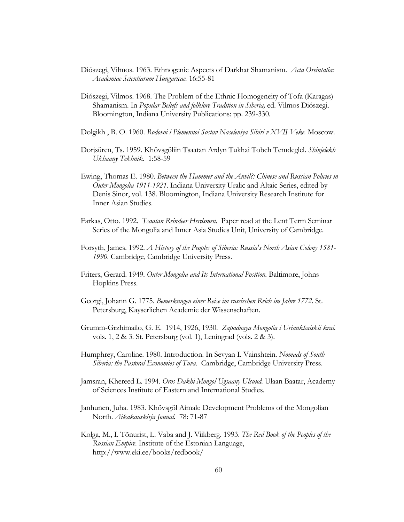- Diószegi, Vilmos. 1963. Ethnogenic Aspects of Darkhat Shamanism. *Acta Oreintalia: Academiae Scientiarum Hungaricae.* 16:55-81
- Diószegi, Vilmos. 1968. The Problem of the Ethnic Homogeneity of Tofa (Karagas) Shamanism. In *Popular Beliefs and folklore Tradition in Siberia*, ed. Vilmos Diószegi. Bloomington, Indiana University Publications: pp. 239-330.
- Dolgikh , B. O. 1960. *Rodovoi i Plemennoi Sostav Naseleniya Sibiri v XVII Veke*. Moscow.
- Dorjsüren, Ts. 1959. Khövsgöliin Tsaatan Ardyn Tukhai Tobch Temdeglel. *Shinjelekh Ukhaany Tekhnik.* 1:58-59
- Ewing, Thomas E. 1980. *Between the Hammer and the Anvil?: Chinese and Russian Policies in Outer Mongolia 1911-1921.* Indiana University Uralic and Altaic Series, edited by Denis Sinor, vol. 138. Bloomington, Indiana University Research Institute for Inner Asian Studies.
- Farkas, Otto. 1992. *Tsaatan Reindeer Herdsmen.* Paper read at the Lent Term Seminar Series of the Mongolia and Inner Asia Studies Unit, University of Cambridge.
- Forsyth, James. 1992. *A History of the Peoples of Siberia: Russia's North Asian Colony 1581- 1990.* Cambridge, Cambridge University Press.
- Friters, Gerard. 1949. *Outer Mongolia and Its International Position.* Baltimore, Johns Hopkins Press.
- Georgi, Johann G. 1775. *Bemerkungen einer Reise im russischen Reich im Jahre 1772.* St. Petersburg, Kayserlichen Academie der Wissenschaften.
- Grumm-Grzhimailo, G. E. 1914, 1926, 1930. *Zapadnaya Mongolia i Uriankhaiskii krai.*  vols. 1, 2 & 3. St. Petersburg (vol. 1), Leningrad (vols. 2 & 3).
- Humphrey, Caroline. 1980. Introduction. In Sevyan I. Vainshtein. *Nomads of South Siberia: the Pastoral Economies of Tuva.* Cambridge, Cambridge University Press.
- Jamsran, Khereed L. 1994. *Oros Dakhi Mongol Ugsaany Ulsuud.* Ulaan Baatar, Academy of Sciences Institute of Eastern and International Studies.
- Janhunen, Juha. 1983. Khövsgöl Aimak: Development Problems of the Mongolian North. *Aikakauskirja Jounal.* 78: 71-87
- Kolga, M., I. Tõnurist, L. Vaba and J. Viikberg. 1993. *The Red Book of the Peoples of the Russian Empire*. Institute of the Estonian Language, http://www.eki.ee/books/redbook/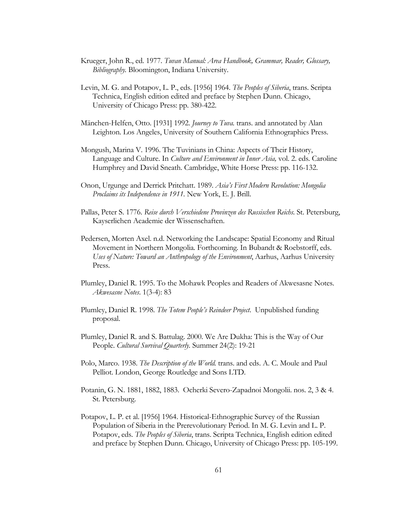- Krueger, John R., ed. 1977. *Tuvan Manual: Area Handbook, Grammar, Reader, Glossary, Bibliography.* Bloomington, Indiana University.
- Levin, M. G. and Potapov, L. P., eds. [1956] 1964. *The Peoples of Siberia*, trans. Scripta Technica, English edition edited and preface by Stephen Dunn. Chicago, University of Chicago Press: pp. 380-422.
- M‰nchen-Helfen, Otto. [1931] 1992. *Journey to Tuva.* trans. and annotated by Alan Leighton. Los Angeles, University of Southern California Ethnographics Press.
- Mongush, Marina V. 1996. The Tuvinians in China: Aspects of Their History, Language and Culture. In *Culture and Environment in Inner Asia,* vol. 2. eds. Caroline Humphrey and David Sneath. Cambridge, White Horse Press: pp. 116-132.
- Onon, Urgunge and Derrick Pritchatt. 1989. *Asiaís First Modern Revolution: Mongolia Proclaims its Independence in 1911.* New York, E. J. Brill.
- Pallas, Peter S. 1776. *Reise durch Verschiedene Provinzen des Russischen Reichs.* St. Petersburg, Kayserlichen Academie der Wissenschaften.
- Pedersen, Morten Axel. n.d. Networking the Landscape: Spatial Economy and Ritual Movement in Northern Mongolia*.* Forthcoming. In Bubandt & Roebstorff, eds. *Uses of Nature: Toward an Anthropology of the Environment*, Aarhus, Aarhus University Press.
- Plumley, Daniel R. 1995. To the Mohawk Peoples and Readers of Akwesasne Notes. *Akwesasne Notes*. 1(3-4): 83
- Plumley, Daniel R. 1998. *The Totem Peopleís Reindeer Project*. Unpublished funding proposal.
- Plumley, Daniel R. and S. Battulag. 2000. We Are Dukha: This is the Way of Our People. *Cultural Survival Quarterly.* Summer 24(2): 19-21
- Polo, Marco. 1938. *The Description of the World.* trans. and eds. A. C. Moule and Paul Pelliot. London, George Routledge and Sons LTD.
- Potanin, G. N. 1881, 1882, 1883. Ocherki Severo-Zapadnoi Mongolii. nos. 2, 3 & 4. St. Petersburg.
- Potapov, L. P. et al. [1956] 1964. Historical-Ethnographic Survey of the Russian Population of Siberia in the Prerevolutionary Period. In M. G. Levin and L. P. Potapov, eds. *The Peoples of Siberia*, trans. Scripta Technica, English edition edited and preface by Stephen Dunn. Chicago, University of Chicago Press: pp. 105-199.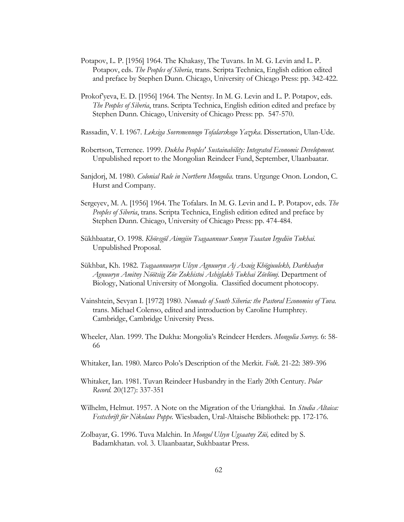- Potapov, L. P. [1956] 1964. The Khakasy, The Tuvans. In M. G. Levin and L. P. Potapov, eds. *The Peoples of Siberia*, trans. Scripta Technica, English edition edited and preface by Stephen Dunn. Chicago, University of Chicago Press: pp. 342-422.
- Prokof yeva, E. D. [1956] 1964. The Nentsy. In M. G. Levin and L. P. Potapov, eds. *The Peoples of Siberia*, trans. Scripta Technica, English edition edited and preface by Stephen Dunn. Chicago, University of Chicago Press: pp. 547-570.
- Rassadin, V. I. 1967. *Leksiga Sovremennogo Tofalarskogo Yazyka*. Dissertation, Ulan-Ude.
- Robertson, Terrence. 1999. *Dukha Peoples' Sustainability: Integrated Economic Development.* Unpublished report to the Mongolian Reindeer Fund, September, Ulaanbaatar.
- Sanjdorj, M. 1980. *Colonial Rule in Northern Mongolia.* trans. Urgunge Onon. London, C. Hurst and Company.
- Sergeyev, M. A. [1956] 1964. The Tofalars. In M. G. Levin and L. P. Potapov, eds. *The Peoples of Siberia*, trans. Scripta Technica, English edition edited and preface by Stephen Dunn. Chicago, University of Chicago Press: pp. 474-484.
- Sükhbaatar, O. 1998. *Khövsgöl Aimgiin Tsagaannuur Sumyn Tsaatan Irgediin Tukhai*. Unpublished Proposal.
- Sükhbat, Kh. 1982. *Tsagaannuuryn Ulsyn Agnuuryn Aj Axuig Khögjuulekh, Darkhadyn Agnuuryn Amitny Nˆˆtsiig Zˆv Zokhistoi Ashiglakh Tukhai Zˆvlˆmj.* Department of Biology, National University of Mongolia. Classified document photocopy.
- Vainshtein, Sevyan I. [1972] 1980. *Nomads of South Siberia: the Pastoral Economies of Tuva.*  trans. Michael Colenso, edited and introduction by Caroline Humphrey. Cambridge, Cambridge University Press.
- Wheeler, Alan. 1999. The Dukha: Mongoliaís Reindeer Herders. *Mongolia Survey.* 6: 58- 66
- Whitaker, Ian. 1980. Marco Poloís Description of the Merkit. *Folk.* 21-22: 389-396
- Whitaker, Ian. 1981. Tuvan Reindeer Husbandry in the Early 20th Century. *Polar Record.* 20(127): 337-351
- Wilhelm, Helmut. 1957. A Note on the Migration of the Uriangkhai. In *Studia Altaica:*  Festschrift für Nikolaus Poppe. Wiesbaden, Ural-Altaische Bibliothek: pp. 172-176.
- Zolbayar, G. 1996. Tuva Malchin. In *Mongol Ulsyn Ugsaatny Züi*, edited by S. Badamkhatan. vol. 3. Ulaanbaatar, Sukhbaatar Press.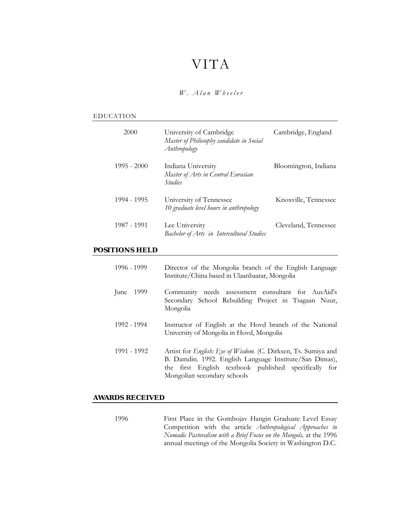# VITA

*W. Alan Wheeler* 

#### EDUCATION

| 2000          | University of Cambridge<br>Master of Philosophy candidate in Social<br>Anthropology | Cambridge, England   |
|---------------|-------------------------------------------------------------------------------------|----------------------|
| $1995 - 2000$ | Indiana University<br>Master of Arts in Central Eurasian<br><i>Studies</i>          | Bloomington, Indiana |
| 1994 - 1995   | University of Tennessee<br>10 graduate level hours in anthropology                  | Knoxville, Tennessee |
| 1987 - 1991   | Lee University<br>Bachelor of Arts in Intercultural Studies                         | Cleveland, Tennessee |

## **POSITIONS HELD**

| 1996 - 1999  | Director of the Mongolia branch of the English Language<br>Institute/China based in Ulaanbaatar, Mongolia                                                                                                                        |
|--------------|----------------------------------------------------------------------------------------------------------------------------------------------------------------------------------------------------------------------------------|
| 1999<br>June | Community needs assessment consultant for AusAid's<br>Secondary School Rebuilding Project in Tsagaan Nuur,<br>Mongolia                                                                                                           |
| 1992 - 1994  | Instructor of English at the Hovd branch of the National<br>University of Mongolia in Hovd, Mongolia                                                                                                                             |
| 1991 - 1992  | Artist for <i>English</i> : Eye of <i>Wisdom.</i> (C. Dirksen, Ts. Sumiya and<br>B. Damdin. 1992. English Language Institute/San Dimas),<br>the first English textbook published specifically for<br>Mongolian secondary schools |

### **AWARDS RECEIVED**

1996 First Place in the Gombojav Hangin Graduate Level Essay Competition with the article *Anthropological Approaches to Nomadic Pastoralism with a Brief Focus on the Mongols,* at the 1996 annual meetings of the Mongolia Society in Washington D.C.